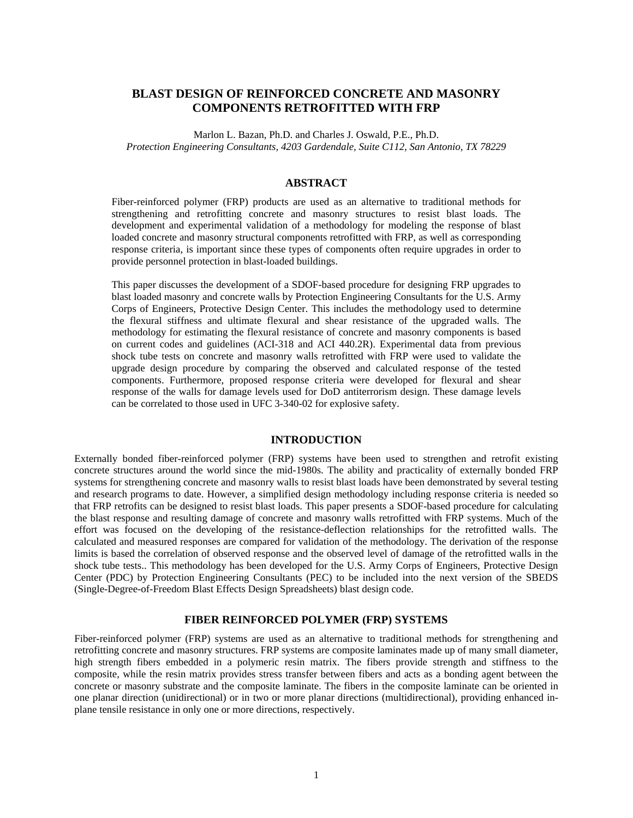## **BLAST DESIGN OF REINFORCED CONCRETE AND MASONRY COMPONENTS RETROFITTED WITH FRP**

Marlon L. Bazan, Ph.D. and Charles J. Oswald, P.E., Ph.D. *Protection Engineering Consultants, 4203 Gardendale, Suite C112, San Antonio, TX 78229* 

### **ABSTRACT**

Fiber-reinforced polymer (FRP) products are used as an alternative to traditional methods for strengthening and retrofitting concrete and masonry structures to resist blast loads. The development and experimental validation of a methodology for modeling the response of blast loaded concrete and masonry structural components retrofitted with FRP, as well as corresponding response criteria, is important since these types of components often require upgrades in order to provide personnel protection in blast-loaded buildings.

This paper discusses the development of a SDOF-based procedure for designing FRP upgrades to blast loaded masonry and concrete walls by Protection Engineering Consultants for the U.S. Army Corps of Engineers, Protective Design Center. This includes the methodology used to determine the flexural stiffness and ultimate flexural and shear resistance of the upgraded walls. The methodology for estimating the flexural resistance of concrete and masonry components is based on current codes and guidelines (ACI-318 and ACI 440.2R). Experimental data from previous shock tube tests on concrete and masonry walls retrofitted with FRP were used to validate the upgrade design procedure by comparing the observed and calculated response of the tested components. Furthermore, proposed response criteria were developed for flexural and shear response of the walls for damage levels used for DoD antiterrorism design. These damage levels can be correlated to those used in UFC 3-340-02 for explosive safety.

## **INTRODUCTION**

Externally bonded fiber-reinforced polymer (FRP) systems have been used to strengthen and retrofit existing concrete structures around the world since the mid-1980s. The ability and practicality of externally bonded FRP systems for strengthening concrete and masonry walls to resist blast loads have been demonstrated by several testing and research programs to date. However, a simplified design methodology including response criteria is needed so that FRP retrofits can be designed to resist blast loads. This paper presents a SDOF-based procedure for calculating the blast response and resulting damage of concrete and masonry walls retrofitted with FRP systems. Much of the effort was focused on the developing of the resistance-deflection relationships for the retrofitted walls. The calculated and measured responses are compared for validation of the methodology. The derivation of the response limits is based the correlation of observed response and the observed level of damage of the retrofitted walls in the shock tube tests.. This methodology has been developed for the U.S. Army Corps of Engineers, Protective Design Center (PDC) by Protection Engineering Consultants (PEC) to be included into the next version of the SBEDS (Single-Degree-of-Freedom Blast Effects Design Spreadsheets) blast design code.

## **FIBER REINFORCED POLYMER (FRP) SYSTEMS**

Fiber-reinforced polymer (FRP) systems are used as an alternative to traditional methods for strengthening and retrofitting concrete and masonry structures. FRP systems are composite laminates made up of many small diameter, high strength fibers embedded in a polymeric resin matrix. The fibers provide strength and stiffness to the composite, while the resin matrix provides stress transfer between fibers and acts as a bonding agent between the concrete or masonry substrate and the composite laminate. The fibers in the composite laminate can be oriented in one planar direction (unidirectional) or in two or more planar directions (multidirectional), providing enhanced inplane tensile resistance in only one or more directions, respectively.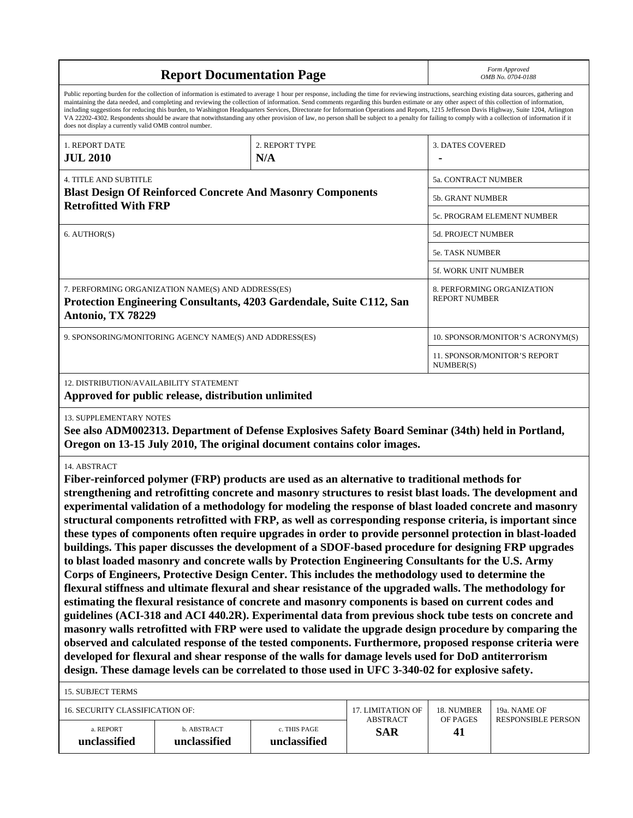|                                                                                                                                                                                                                                                                                                                                                                                                                                                                                                                                                                                                                                                                                                                                                                                                                                                                                                                                                                                                                                                                                                                                                                                                                                                                                                                                                                                                                                                                                                                                                                                                                                                                                                                             |                                                                                                                                                                                                                                                                                                                                                                                                                                                                                                                                                                                                                                                                                                                                                                                                          | Form Approved<br>OMB No. 0704-0188 |                               |                                           |                                  |  |  |
|-----------------------------------------------------------------------------------------------------------------------------------------------------------------------------------------------------------------------------------------------------------------------------------------------------------------------------------------------------------------------------------------------------------------------------------------------------------------------------------------------------------------------------------------------------------------------------------------------------------------------------------------------------------------------------------------------------------------------------------------------------------------------------------------------------------------------------------------------------------------------------------------------------------------------------------------------------------------------------------------------------------------------------------------------------------------------------------------------------------------------------------------------------------------------------------------------------------------------------------------------------------------------------------------------------------------------------------------------------------------------------------------------------------------------------------------------------------------------------------------------------------------------------------------------------------------------------------------------------------------------------------------------------------------------------------------------------------------------------|----------------------------------------------------------------------------------------------------------------------------------------------------------------------------------------------------------------------------------------------------------------------------------------------------------------------------------------------------------------------------------------------------------------------------------------------------------------------------------------------------------------------------------------------------------------------------------------------------------------------------------------------------------------------------------------------------------------------------------------------------------------------------------------------------------|------------------------------------|-------------------------------|-------------------------------------------|----------------------------------|--|--|
| does not display a currently valid OMB control number.                                                                                                                                                                                                                                                                                                                                                                                                                                                                                                                                                                                                                                                                                                                                                                                                                                                                                                                                                                                                                                                                                                                                                                                                                                                                                                                                                                                                                                                                                                                                                                                                                                                                      | Public reporting burden for the collection of information is estimated to average 1 hour per response, including the time for reviewing instructions, searching existing data sources, gathering and<br>maintaining the data needed, and completing and reviewing the collection of information. Send comments regarding this burden estimate or any other aspect of this collection of information,<br>including suggestions for reducing this burden, to Washington Headquarters Services, Directorate for Information Operations and Reports, 1215 Jefferson Davis Highway, Suite 1204, Arlington<br>VA 22202-4302. Respondents should be aware that notwithstanding any other provision of law, no person shall be subject to a penalty for failing to comply with a collection of information if it |                                    |                               |                                           |                                  |  |  |
| 1. REPORT DATE<br><b>JUL 2010</b>                                                                                                                                                                                                                                                                                                                                                                                                                                                                                                                                                                                                                                                                                                                                                                                                                                                                                                                                                                                                                                                                                                                                                                                                                                                                                                                                                                                                                                                                                                                                                                                                                                                                                           |                                                                                                                                                                                                                                                                                                                                                                                                                                                                                                                                                                                                                                                                                                                                                                                                          |                                    | 3. DATES COVERED              |                                           |                                  |  |  |
| <b>4. TITLE AND SUBTITLE</b>                                                                                                                                                                                                                                                                                                                                                                                                                                                                                                                                                                                                                                                                                                                                                                                                                                                                                                                                                                                                                                                                                                                                                                                                                                                                                                                                                                                                                                                                                                                                                                                                                                                                                                |                                                                                                                                                                                                                                                                                                                                                                                                                                                                                                                                                                                                                                                                                                                                                                                                          |                                    |                               | 5a. CONTRACT NUMBER                       |                                  |  |  |
|                                                                                                                                                                                                                                                                                                                                                                                                                                                                                                                                                                                                                                                                                                                                                                                                                                                                                                                                                                                                                                                                                                                                                                                                                                                                                                                                                                                                                                                                                                                                                                                                                                                                                                                             | <b>Blast Design Of Reinforced Concrete And Masonry Components</b>                                                                                                                                                                                                                                                                                                                                                                                                                                                                                                                                                                                                                                                                                                                                        |                                    |                               | 5b. GRANT NUMBER                          |                                  |  |  |
| <b>Retrofitted With FRP</b>                                                                                                                                                                                                                                                                                                                                                                                                                                                                                                                                                                                                                                                                                                                                                                                                                                                                                                                                                                                                                                                                                                                                                                                                                                                                                                                                                                                                                                                                                                                                                                                                                                                                                                 |                                                                                                                                                                                                                                                                                                                                                                                                                                                                                                                                                                                                                                                                                                                                                                                                          |                                    |                               |                                           | 5c. PROGRAM ELEMENT NUMBER       |  |  |
| 6. AUTHOR(S)                                                                                                                                                                                                                                                                                                                                                                                                                                                                                                                                                                                                                                                                                                                                                                                                                                                                                                                                                                                                                                                                                                                                                                                                                                                                                                                                                                                                                                                                                                                                                                                                                                                                                                                |                                                                                                                                                                                                                                                                                                                                                                                                                                                                                                                                                                                                                                                                                                                                                                                                          |                                    |                               | 5d. PROJECT NUMBER                        |                                  |  |  |
|                                                                                                                                                                                                                                                                                                                                                                                                                                                                                                                                                                                                                                                                                                                                                                                                                                                                                                                                                                                                                                                                                                                                                                                                                                                                                                                                                                                                                                                                                                                                                                                                                                                                                                                             |                                                                                                                                                                                                                                                                                                                                                                                                                                                                                                                                                                                                                                                                                                                                                                                                          |                                    |                               | <b>5e. TASK NUMBER</b>                    |                                  |  |  |
|                                                                                                                                                                                                                                                                                                                                                                                                                                                                                                                                                                                                                                                                                                                                                                                                                                                                                                                                                                                                                                                                                                                                                                                                                                                                                                                                                                                                                                                                                                                                                                                                                                                                                                                             |                                                                                                                                                                                                                                                                                                                                                                                                                                                                                                                                                                                                                                                                                                                                                                                                          |                                    |                               | 5f. WORK UNIT NUMBER                      |                                  |  |  |
| Antonio, TX 78229                                                                                                                                                                                                                                                                                                                                                                                                                                                                                                                                                                                                                                                                                                                                                                                                                                                                                                                                                                                                                                                                                                                                                                                                                                                                                                                                                                                                                                                                                                                                                                                                                                                                                                           | 7. PERFORMING ORGANIZATION NAME(S) AND ADDRESS(ES)<br>Protection Engineering Consultants, 4203 Gardendale, Suite C112, San                                                                                                                                                                                                                                                                                                                                                                                                                                                                                                                                                                                                                                                                               |                                    |                               | <b>REPORT NUMBER</b>                      | 8. PERFORMING ORGANIZATION       |  |  |
|                                                                                                                                                                                                                                                                                                                                                                                                                                                                                                                                                                                                                                                                                                                                                                                                                                                                                                                                                                                                                                                                                                                                                                                                                                                                                                                                                                                                                                                                                                                                                                                                                                                                                                                             | 9. SPONSORING/MONITORING AGENCY NAME(S) AND ADDRESS(ES)                                                                                                                                                                                                                                                                                                                                                                                                                                                                                                                                                                                                                                                                                                                                                  |                                    |                               |                                           | 10. SPONSOR/MONITOR'S ACRONYM(S) |  |  |
|                                                                                                                                                                                                                                                                                                                                                                                                                                                                                                                                                                                                                                                                                                                                                                                                                                                                                                                                                                                                                                                                                                                                                                                                                                                                                                                                                                                                                                                                                                                                                                                                                                                                                                                             |                                                                                                                                                                                                                                                                                                                                                                                                                                                                                                                                                                                                                                                                                                                                                                                                          |                                    |                               | 11. SPONSOR/MONITOR'S REPORT<br>NUMBER(S) |                                  |  |  |
| 12. DISTRIBUTION/AVAILABILITY STATEMENT                                                                                                                                                                                                                                                                                                                                                                                                                                                                                                                                                                                                                                                                                                                                                                                                                                                                                                                                                                                                                                                                                                                                                                                                                                                                                                                                                                                                                                                                                                                                                                                                                                                                                     | Approved for public release, distribution unlimited                                                                                                                                                                                                                                                                                                                                                                                                                                                                                                                                                                                                                                                                                                                                                      |                                    |                               |                                           |                                  |  |  |
| <b>13. SUPPLEMENTARY NOTES</b>                                                                                                                                                                                                                                                                                                                                                                                                                                                                                                                                                                                                                                                                                                                                                                                                                                                                                                                                                                                                                                                                                                                                                                                                                                                                                                                                                                                                                                                                                                                                                                                                                                                                                              | See also ADM002313. Department of Defense Explosives Safety Board Seminar (34th) held in Portland,                                                                                                                                                                                                                                                                                                                                                                                                                                                                                                                                                                                                                                                                                                       |                                    |                               |                                           |                                  |  |  |
| Oregon on 13-15 July 2010, The original document contains color images.<br>14. ABSTRACT<br>Fiber-reinforced polymer (FRP) products are used as an alternative to traditional methods for<br>strengthening and retrofitting concrete and masonry structures to resist blast loads. The development and<br>experimental validation of a methodology for modeling the response of blast loaded concrete and masonry<br>structural components retrofitted with FRP, as well as corresponding response criteria, is important since<br>these types of components often require upgrades in order to provide personnel protection in blast-loaded<br>buildings. This paper discusses the development of a SDOF-based procedure for designing FRP upgrades<br>to blast loaded masonry and concrete walls by Protection Engineering Consultants for the U.S. Army<br>Corps of Engineers, Protective Design Center. This includes the methodology used to determine the<br>flexural stiffness and ultimate flexural and shear resistance of the upgraded walls. The methodology for<br>estimating the flexural resistance of concrete and masonry components is based on current codes and<br>guidelines (ACI-318 and ACI 440.2R). Experimental data from previous shock tube tests on concrete and<br>masonry walls retrofitted with FRP were used to validate the upgrade design procedure by comparing the<br>observed and calculated response of the tested components. Furthermore, proposed response criteria were<br>developed for flexural and shear response of the walls for damage levels used for DoD antiterrorism<br>design. These damage levels can be correlated to those used in UFC 3-340-02 for explosive safety. |                                                                                                                                                                                                                                                                                                                                                                                                                                                                                                                                                                                                                                                                                                                                                                                                          |                                    |                               |                                           |                                  |  |  |
| <b>15. SUBJECT TERMS</b><br>16. SECURITY CLASSIFICATION OF:                                                                                                                                                                                                                                                                                                                                                                                                                                                                                                                                                                                                                                                                                                                                                                                                                                                                                                                                                                                                                                                                                                                                                                                                                                                                                                                                                                                                                                                                                                                                                                                                                                                                 |                                                                                                                                                                                                                                                                                                                                                                                                                                                                                                                                                                                                                                                                                                                                                                                                          |                                    | <b>17. LIMITATION OF</b>      | 18. NUMBER                                | 19a. NAME OF                     |  |  |
| a. REPORT<br>unclassified                                                                                                                                                                                                                                                                                                                                                                                                                                                                                                                                                                                                                                                                                                                                                                                                                                                                                                                                                                                                                                                                                                                                                                                                                                                                                                                                                                                                                                                                                                                                                                                                                                                                                                   | b. ABSTRACT<br>unclassified                                                                                                                                                                                                                                                                                                                                                                                                                                                                                                                                                                                                                                                                                                                                                                              | c. THIS PAGE<br>unclassified       | <b>ABSTRACT</b><br><b>SAR</b> | OF PAGES<br>41                            | <b>RESPONSIBLE PERSON</b>        |  |  |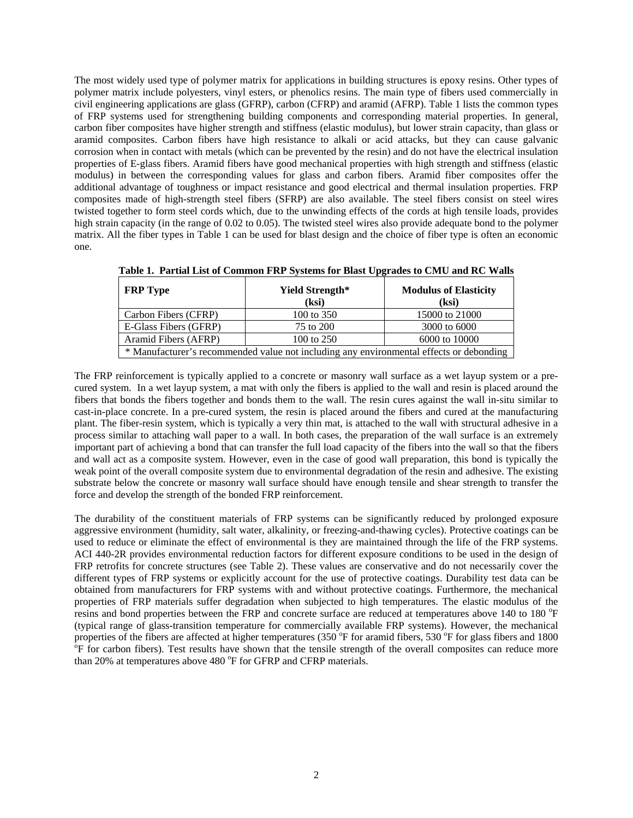The most widely used type of polymer matrix for applications in building structures is epoxy resins. Other types of polymer matrix include polyesters, vinyl esters, or phenolics resins. The main type of fibers used commercially in civil engineering applications are glass (GFRP), carbon (CFRP) and aramid (AFRP). Table 1 lists the common types of FRP systems used for strengthening building components and corresponding material properties. In general, carbon fiber composites have higher strength and stiffness (elastic modulus), but lower strain capacity, than glass or aramid composites. Carbon fibers have high resistance to alkali or acid attacks, but they can cause galvanic corrosion when in contact with metals (which can be prevented by the resin) and do not have the electrical insulation properties of E-glass fibers. Aramid fibers have good mechanical properties with high strength and stiffness (elastic modulus) in between the corresponding values for glass and carbon fibers. Aramid fiber composites offer the additional advantage of toughness or impact resistance and good electrical and thermal insulation properties. FRP composites made of high-strength steel fibers (SFRP) are also available. The steel fibers consist on steel wires twisted together to form steel cords which, due to the unwinding effects of the cords at high tensile loads, provides high strain capacity (in the range of 0.02 to 0.05). The twisted steel wires also provide adequate bond to the polymer matrix. All the fiber types in Table 1 can be used for blast design and the choice of fiber type is often an economic one.

| <b>FRP</b> Type                                                                         | Yield Strength*<br>(ksi) | <b>Modulus of Elasticity</b><br>(ksi) |  |  |  |  |
|-----------------------------------------------------------------------------------------|--------------------------|---------------------------------------|--|--|--|--|
| Carbon Fibers (CFRP)                                                                    | 100 to 350               | 15000 to 21000                        |  |  |  |  |
| E-Glass Fibers (GFRP)                                                                   | 75 to 200                | 3000 to 6000                          |  |  |  |  |
| Aramid Fibers (AFRP)                                                                    | 100 to 250               | 6000 to 10000                         |  |  |  |  |
| * Manufacturer's recommended value not including any environmental effects or debonding |                          |                                       |  |  |  |  |

The FRP reinforcement is typically applied to a concrete or masonry wall surface as a wet layup system or a precured system. In a wet layup system, a mat with only the fibers is applied to the wall and resin is placed around the fibers that bonds the fibers together and bonds them to the wall. The resin cures against the wall in-situ similar to cast-in-place concrete. In a pre-cured system, the resin is placed around the fibers and cured at the manufacturing plant. The fiber-resin system, which is typically a very thin mat, is attached to the wall with structural adhesive in a process similar to attaching wall paper to a wall. In both cases, the preparation of the wall surface is an extremely important part of achieving a bond that can transfer the full load capacity of the fibers into the wall so that the fibers and wall act as a composite system. However, even in the case of good wall preparation, this bond is typically the weak point of the overall composite system due to environmental degradation of the resin and adhesive. The existing substrate below the concrete or masonry wall surface should have enough tensile and shear strength to transfer the force and develop the strength of the bonded FRP reinforcement.

The durability of the constituent materials of FRP systems can be significantly reduced by prolonged exposure aggressive environment (humidity, salt water, alkalinity, or freezing-and-thawing cycles). Protective coatings can be used to reduce or eliminate the effect of environmental is they are maintained through the life of the FRP systems. ACI 440-2R provides environmental reduction factors for different exposure conditions to be used in the design of FRP retrofits for concrete structures (see Table 2). These values are conservative and do not necessarily cover the different types of FRP systems or explicitly account for the use of protective coatings. Durability test data can be obtained from manufacturers for FRP systems with and without protective coatings. Furthermore, the mechanical properties of FRP materials suffer degradation when subjected to high temperatures. The elastic modulus of the resins and bond properties between the FRP and concrete surface are reduced at temperatures above 140 to 180 °F (typical range of glass-transition temperature for commercially available FRP systems). However, the mechanical properties of the fibers are affected at higher temperatures (350  $\degree$ F for aramid fibers, 530  $\degree$ F for glass fibers and 1800  $\degree$ F for generating fibers). Test results have shown that the tensile strength of the overall <sup>o</sup>F for carbon fibers). Test results have shown that the tensile strength of the overall composites can reduce more than 20% at temperatures above 480 °F for GFRP and CFRP materials.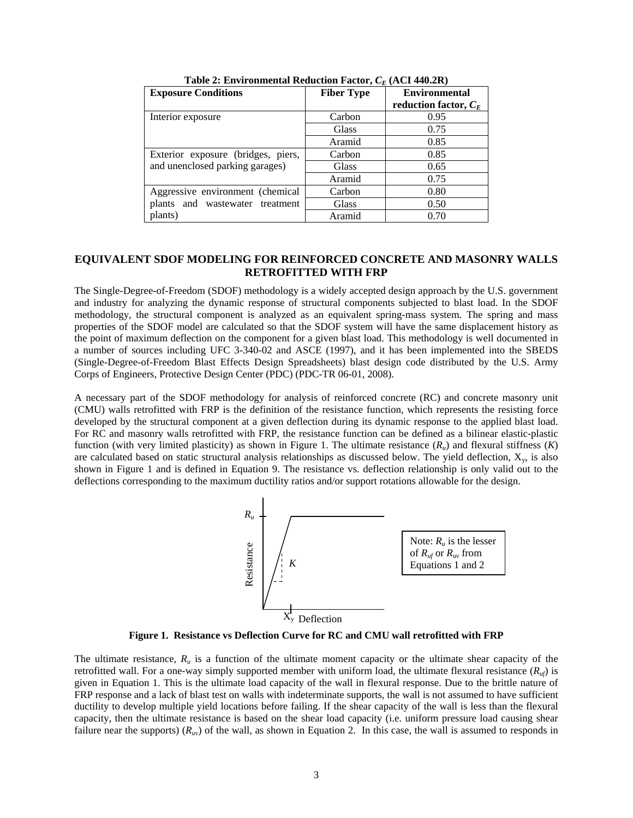| <b>Exposure Conditions</b>         | <b>Fiber Type</b> | <b>Environmental</b>    |
|------------------------------------|-------------------|-------------------------|
|                                    |                   | reduction factor, $C_F$ |
| Interior exposure                  | Carbon            | 0.95                    |
|                                    | Glass             | 0.75                    |
|                                    | Aramid            | 0.85                    |
| Exterior exposure (bridges, piers, | Carbon            | 0.85                    |
| and unenclosed parking garages)    | Glass             | 0.65                    |
|                                    | Aramid            | 0.75                    |
| Aggressive environment (chemical   | Carbon            | 0.80                    |
| plants and wastewater treatment    | Glass             | 0.50                    |
| plants)                            | Aramid            | 0.70                    |

**Table 2: Environmental Reduction Factor,**  $C_F$  **(ACI 440.2R)** 

## **EQUIVALENT SDOF MODELING FOR REINFORCED CONCRETE AND MASONRY WALLS RETROFITTED WITH FRP**

The Single-Degree-of-Freedom (SDOF) methodology is a widely accepted design approach by the U.S. government and industry for analyzing the dynamic response of structural components subjected to blast load. In the SDOF methodology, the structural component is analyzed as an equivalent spring-mass system. The spring and mass properties of the SDOF model are calculated so that the SDOF system will have the same displacement history as the point of maximum deflection on the component for a given blast load. This methodology is well documented in a number of sources including UFC 3-340-02 and ASCE (1997), and it has been implemented into the SBEDS (Single-Degree-of-Freedom Blast Effects Design Spreadsheets) blast design code distributed by the U.S. Army Corps of Engineers, Protective Design Center (PDC) (PDC-TR 06-01, 2008).

A necessary part of the SDOF methodology for analysis of reinforced concrete (RC) and concrete masonry unit (CMU) walls retrofitted with FRP is the definition of the resistance function, which represents the resisting force developed by the structural component at a given deflection during its dynamic response to the applied blast load. For RC and masonry walls retrofitted with FRP, the resistance function can be defined as a bilinear elastic-plastic function (with very limited plasticity) as shown in Figure 1. The ultimate resistance  $(R_u)$  and flexural stiffness  $(K)$ are calculated based on static structural analysis relationships as discussed below. The yield deflection, X<sub>y</sub>, is also shown in Figure 1 and is defined in Equation 9. The resistance vs. deflection relationship is only valid out to the deflections corresponding to the maximum ductility ratios and/or support rotations allowable for the design.



**Figure 1. Resistance vs Deflection Curve for RC and CMU wall retrofitted with FRP** 

The ultimate resistance,  $R_u$  is a function of the ultimate moment capacity or the ultimate shear capacity of the retrofitted wall. For a one-way simply supported member with uniform load, the ultimate flexural resistance (*Ruf*) is given in Equation 1. This is the ultimate load capacity of the wall in flexural response. Due to the brittle nature of FRP response and a lack of blast test on walls with indeterminate supports, the wall is not assumed to have sufficient ductility to develop multiple yield locations before failing. If the shear capacity of the wall is less than the flexural capacity, then the ultimate resistance is based on the shear load capacity (i.e. uniform pressure load causing shear failure near the supports)  $(R<sub>uv</sub>)$  of the wall, as shown in Equation 2. In this case, the wall is assumed to responds in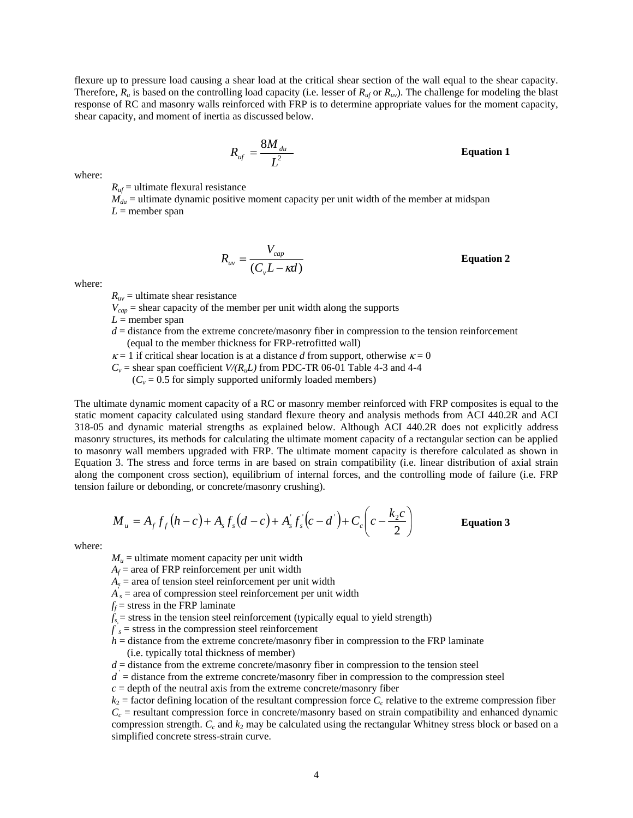flexure up to pressure load causing a shear load at the critical shear section of the wall equal to the shear capacity. Therefore,  $R_u$  is based on the controlling load capacity (i.e. lesser of  $R_{u f}$  or  $R_{u v}$ ). The challenge for modeling the blast response of RC and masonry walls reinforced with FRP is to determine appropriate values for the moment capacity, shear capacity, and moment of inertia as discussed below.

$$
R_{\rm uf} = \frac{8M_{\rm du}}{L^2}
$$

**Equation 1** 

where:

 $R_{\textit{uf}}$  = ultimate flexural resistance

 $M_{du}$  = ultimate dynamic positive moment capacity per unit width of the member at midspan  $L =$  member span

$$
R_{uv} = \frac{V_{cap}}{(C_v L - \kappa d)}
$$
 Equation 2

where:

 $R_{uv}$  = ultimate shear resistance

 $V_{cap}$  = shear capacity of the member per unit width along the supports

 $L =$  member span

- $d =$  distance from the extreme concrete/masonry fiber in compression to the tension reinforcement (equal to the member thickness for FRP-retrofitted wall)
- $\kappa = 1$  if critical shear location is at a distance *d* from support, otherwise  $\kappa = 0$
- $C_v$  = shear span coefficient *V/(R<sub>u</sub>L)* from PDC-TR 06-01 Table 4-3 and 4-4

 $(C_v = 0.5$  for simply supported uniformly loaded members)

The ultimate dynamic moment capacity of a RC or masonry member reinforced with FRP composites is equal to the static moment capacity calculated using standard flexure theory and analysis methods from ACI 440.2R and ACI 318-05 and dynamic material strengths as explained below. Although ACI 440.2R does not explicitly address masonry structures, its methods for calculating the ultimate moment capacity of a rectangular section can be applied to masonry wall members upgraded with FRP. The ultimate moment capacity is therefore calculated as shown in Equation 3. The stress and force terms in are based on strain compatibility (i.e. linear distribution of axial strain along the component cross section), equilibrium of internal forces, and the controlling mode of failure (i.e. FRP tension failure or debonding, or concrete/masonry crushing).

$$
M_u = A_f f_f (h - c) + A_s f_s (d - c) + A_s f_s (c - d') + C_c \left( c - \frac{k_2 c}{2} \right)
$$
 Equation 3

where:

 $M_u$  = ultimate moment capacity per unit width

 $A_f$  = area of FRP reinforcement per unit width

 $A<sub>s</sub>$  = area of tension steel reinforcement per unit width

- $A_{s}$  = area of compression steel reinforcement per unit width
- $f_f$  = stress in the FRP laminate
- $f_{s}$  = stress in the tension steel reinforcement (typically equal to yield strength)
- $f_s$  = stress in the compression steel reinforcement
- $h =$  distance from the extreme concrete/masonry fiber in compression to the FRP laminate (i.e. typically total thickness of member)
- $d =$  distance from the extreme concrete/masonry fiber in compression to the tension steel
- $d =$  distance from the extreme concrete/masonry fiber in compression to the compression steel
- $c =$  depth of the neutral axis from the extreme concrete/masonry fiber

 $k_2$  = factor defining location of the resultant compression force  $C_c$  relative to the extreme compression fiber  $C_c$  = resultant compression force in concrete/masonry based on strain compatibility and enhanced dynamic compression strength.  $C_c$  and  $k_2$  may be calculated using the rectangular Whitney stress block or based on a simplified concrete stress-strain curve.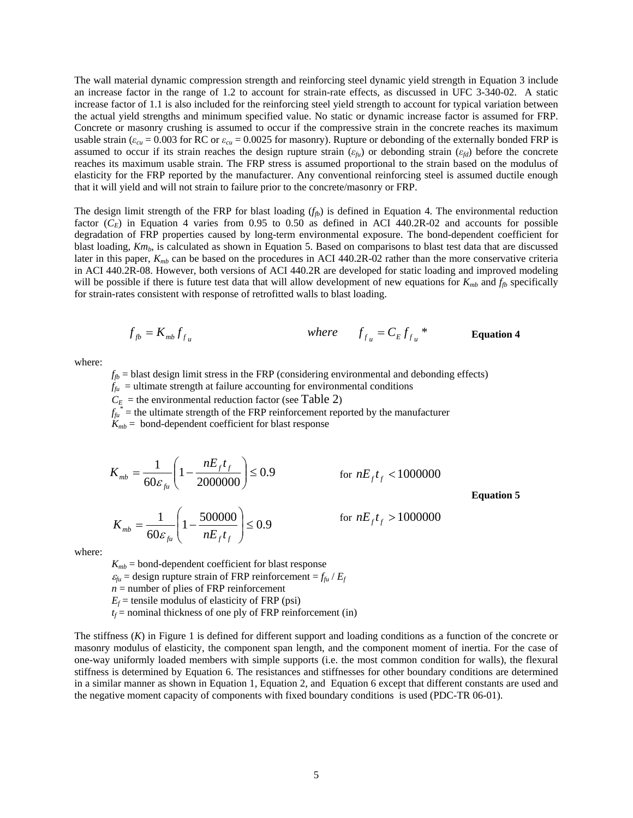The wall material dynamic compression strength and reinforcing steel dynamic yield strength in Equation 3 include an increase factor in the range of 1.2 to account for strain-rate effects, as discussed in UFC 3-340-02. A static increase factor of 1.1 is also included for the reinforcing steel yield strength to account for typical variation between the actual yield strengths and minimum specified value. No static or dynamic increase factor is assumed for FRP. Concrete or masonry crushing is assumed to occur if the compressive strain in the concrete reaches its maximum usable strain ( $\varepsilon_{cu}$  = 0.003 for RC or  $\varepsilon_{cu}$  = 0.0025 for masonry). Rupture or debonding of the externally bonded FRP is assumed to occur if its strain reaches the design rupture strain (*εfu*) or debonding strain (*εfd*) before the concrete reaches its maximum usable strain. The FRP stress is assumed proportional to the strain based on the modulus of elasticity for the FRP reported by the manufacturer. Any conventional reinforcing steel is assumed ductile enough that it will yield and will not strain to failure prior to the concrete/masonry or FRP.

The design limit strength of the FRP for blast loading  $(f_{\beta})$  is defined in Equation 4. The environmental reduction factor  $(C_E)$  in Equation 4 varies from 0.95 to 0.50 as defined in ACI 440.2R-02 and accounts for possible degradation of FRP properties caused by long-term environmental exposure. The bond-dependent coefficient for blast loading, *Km<sub>b</sub>*, is calculated as shown in Equation 5. Based on comparisons to blast test data that are discussed later in this paper,  $K_{mb}$  can be based on the procedures in ACI 440.2R-02 rather than the more conservative criteria in ACI 440.2R-08. However, both versions of ACI 440.2R are developed for static loading and improved modeling will be possible if there is future test data that will allow development of new equations for  $K_{mb}$  and  $f_{fb}$  specifically for strain-rates consistent with response of retrofitted walls to blast loading.

$$
f_{fb} = K_{mb} f_{fu}
$$
 where  $f_{f_u} = C_E f_{f_u}^*$  **Equation 4**

where:

 $f_{fb}$  = blast design limit stress in the FRP (considering environmental and debonding effects)

 $f_{f\mu}$  = ultimate strength at failure accounting for environmental conditions

 $C_E$  = the environmental reduction factor (see Table 2)

 $f_{\hat{i}\hat{i}}$  = the ultimate strength of the FRP reinforcement reported by the manufacturer

 $K_{mb}$  = bond-dependent coefficient for blast response

$$
K_{mb} = \frac{1}{60\varepsilon_{fu}} \left( 1 - \frac{nE_f t_f}{2000000} \right) \le 0.9
$$
 for  $nE_f t_f < 1000000$   

$$
K_{mb} = \frac{1}{60\varepsilon_{fu}} \left( 1 - \frac{500000}{nE_f t_f} \right) \le 0.9
$$
 for  $nE_f t_f > 1000000$ 

**Equation 5** 

where:

 $K_{mb}$  = bond-dependent coefficient for blast response  $\varepsilon_{fu}$  = design rupture strain of FRP reinforcement =  $f_{fu}$  /  $E_f$  $n =$  number of plies of FRP reinforcement  $E_f$  = tensile modulus of elasticity of FRP (psi)  $t_f$  = nominal thickness of one ply of FRP reinforcement (in)

 $\setminus$ 

The stiffness (*K*) in Figure 1 is defined for different support and loading conditions as a function of the concrete or masonry modulus of elasticity, the component span length, and the component moment of inertia. For the case of one-way uniformly loaded members with simple supports (i.e. the most common condition for walls), the flexural stiffness is determined by Equation 6. The resistances and stiffnesses for other boundary conditions are determined in a similar manner as shown in Equation 1, Equation 2, and Equation 6 except that different constants are used and the negative moment capacity of components with fixed boundary conditions is used (PDC-TR 06-01).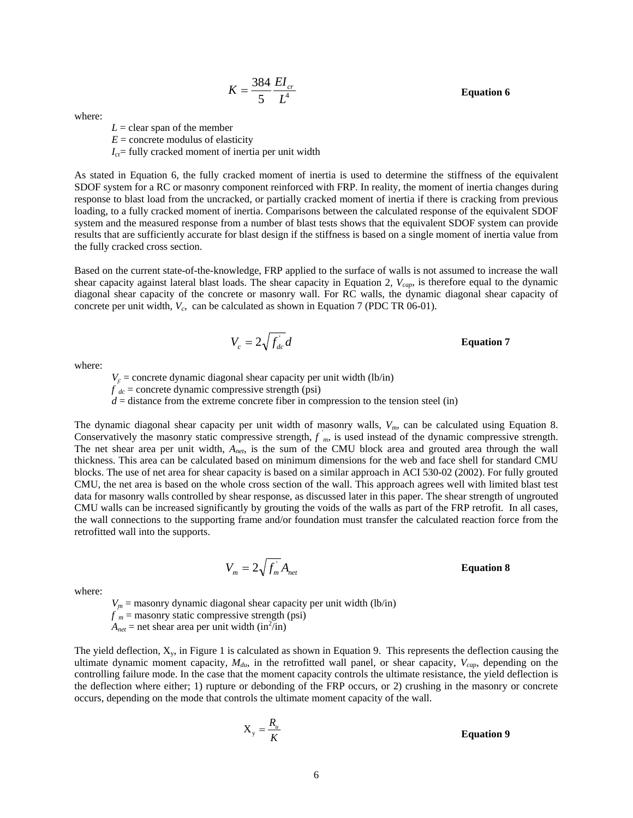# $K = \frac{384}{5} \frac{EI_{cr}}{L^4}$  **Equation 6**

where:

 $L =$  clear span of the member  $E =$  concrete modulus of elasticity

 $I_{cr}$ = fully cracked moment of inertia per unit width

As stated in Equation 6, the fully cracked moment of inertia is used to determine the stiffness of the equivalent SDOF system for a RC or masonry component reinforced with FRP. In reality, the moment of inertia changes during response to blast load from the uncracked, or partially cracked moment of inertia if there is cracking from previous loading, to a fully cracked moment of inertia. Comparisons between the calculated response of the equivalent SDOF system and the measured response from a number of blast tests shows that the equivalent SDOF system can provide results that are sufficiently accurate for blast design if the stiffness is based on a single moment of inertia value from the fully cracked cross section.

5  $L^4$ 

384

Based on the current state-of-the-knowledge, FRP applied to the surface of walls is not assumed to increase the wall shear capacity against lateral blast loads. The shear capacity in Equation 2, *Vcap*, is therefore equal to the dynamic diagonal shear capacity of the concrete or masonry wall. For RC walls, the dynamic diagonal shear capacity of concrete per unit width,  $V_c$ , can be calculated as shown in Equation 7 (PDC TR 06-01).

$$
V_c = 2\sqrt{f_{dc}}d
$$
 Equation 7

where:

 $V_c$  = concrete dynamic diagonal shear capacity per unit width (lb/in)  $f'_{dc}$  = concrete dynamic compressive strength (psi)  $d =$  distance from the extreme concrete fiber in compression to the tension steel (in)

The dynamic diagonal shear capacity per unit width of masonry walls,  $V_m$ , can be calculated using Equation 8. Conservatively the masonry static compressive strength,  $f'_{m}$ , is used instead of the dynamic compressive strength. The net shear area per unit width, *Anet*, is the sum of the CMU block area and grouted area through the wall thickness. This area can be calculated based on minimum dimensions for the web and face shell for standard CMU blocks. The use of net area for shear capacity is based on a similar approach in ACI 530-02 (2002). For fully grouted CMU, the net area is based on the whole cross section of the wall. This approach agrees well with limited blast test data for masonry walls controlled by shear response, as discussed later in this paper. The shear strength of ungrouted CMU walls can be increased significantly by grouting the voids of the walls as part of the FRP retrofit. In all cases, the wall connections to the supporting frame and/or foundation must transfer the calculated reaction force from the retrofitted wall into the supports.

$$
V_m = 2\sqrt{f_m} A_{net}
$$

#### 2 **Equation 8**

where:

 $V_m$  = masonry dynamic diagonal shear capacity per unit width (lb/in)  $f'_m$  = masonry static compressive strength (psi)  $A_{net}$  = net shear area per unit width (in<sup>2</sup>/in)

The yield deflection,  $X_v$ , in Figure 1 is calculated as shown in Equation 9. This represents the deflection causing the ultimate dynamic moment capacity,  $M_{du}$ , in the retrofitted wall panel, or shear capacity,  $V_{cap}$ , depending on the controlling failure mode. In the case that the moment capacity controls the ultimate resistance, the yield deflection is the deflection where either; 1) rupture or debonding of the FRP occurs, or 2) crushing in the masonry or concrete occurs, depending on the mode that controls the ultimate moment capacity of the wall.

$$
X_{y} = \frac{R_{u}}{K}
$$
 Equation 9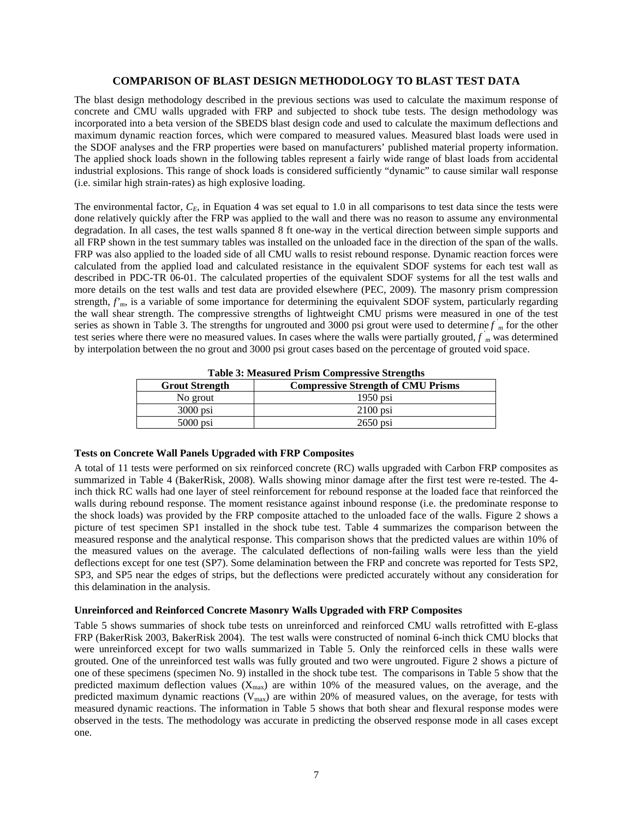## **COMPARISON OF BLAST DESIGN METHODOLOGY TO BLAST TEST DATA**

The blast design methodology described in the previous sections was used to calculate the maximum response of concrete and CMU walls upgraded with FRP and subjected to shock tube tests. The design methodology was incorporated into a beta version of the SBEDS blast design code and used to calculate the maximum deflections and maximum dynamic reaction forces, which were compared to measured values. Measured blast loads were used in the SDOF analyses and the FRP properties were based on manufacturers' published material property information. The applied shock loads shown in the following tables represent a fairly wide range of blast loads from accidental industrial explosions. This range of shock loads is considered sufficiently "dynamic" to cause similar wall response (i.e. similar high strain-rates) as high explosive loading.

The environmental factor,  $C_E$ , in Equation 4 was set equal to 1.0 in all comparisons to test data since the tests were done relatively quickly after the FRP was applied to the wall and there was no reason to assume any environmental degradation. In all cases, the test walls spanned 8 ft one-way in the vertical direction between simple supports and all FRP shown in the test summary tables was installed on the unloaded face in the direction of the span of the walls. FRP was also applied to the loaded side of all CMU walls to resist rebound response. Dynamic reaction forces were calculated from the applied load and calculated resistance in the equivalent SDOF systems for each test wall as described in PDC-TR 06-01. The calculated properties of the equivalent SDOF systems for all the test walls and more details on the test walls and test data are provided elsewhere (PEC, 2009). The masonry prism compression strength,  $f<sub>m</sub>$ , is a variable of some importance for determining the equivalent SDOF system, particularly regarding the wall shear strength. The compressive strengths of lightweight CMU prisms were measured in one of the test series as shown in Table 3. The strengths for ungrouted and 3000 psi grout were used to determine *f* ' *<sup>m</sup>* for the other test series where there were no measured values. In cases where the walls were partially grouted,  $f_{m}^{'}$  was determined by interpolation between the no grout and 3000 psi grout cases based on the percentage of grouted void space.

| <b>Grout Strength</b> | <b>Compressive Strength of CMU Prisms</b> |
|-----------------------|-------------------------------------------|
| No grout              | $1950$ psi                                |
| $3000$ psi            | $2100$ psi                                |
| $5000$ psi            | $2650$ psi                                |

**Table 3: Measured Prism Compressive Strengths** 

## **Tests on Concrete Wall Panels Upgraded with FRP Composites**

A total of 11 tests were performed on six reinforced concrete (RC) walls upgraded with Carbon FRP composites as summarized in Table 4 (BakerRisk, 2008). Walls showing minor damage after the first test were re-tested. The 4 inch thick RC walls had one layer of steel reinforcement for rebound response at the loaded face that reinforced the walls during rebound response. The moment resistance against inbound response (i.e. the predominate response to the shock loads) was provided by the FRP composite attached to the unloaded face of the walls. Figure 2 shows a picture of test specimen SP1 installed in the shock tube test. Table 4 summarizes the comparison between the measured response and the analytical response. This comparison shows that the predicted values are within 10% of the measured values on the average. The calculated deflections of non-failing walls were less than the yield deflections except for one test (SP7). Some delamination between the FRP and concrete was reported for Tests SP2, SP3, and SP5 near the edges of strips, but the deflections were predicted accurately without any consideration for this delamination in the analysis.

## **Unreinforced and Reinforced Concrete Masonry Walls Upgraded with FRP Composites**

Table 5 shows summaries of shock tube tests on unreinforced and reinforced CMU walls retrofitted with E-glass FRP (BakerRisk 2003, BakerRisk 2004). The test walls were constructed of nominal 6-inch thick CMU blocks that were unreinforced except for two walls summarized in Table 5. Only the reinforced cells in these walls were grouted. One of the unreinforced test walls was fully grouted and two were ungrouted. Figure 2 shows a picture of one of these specimens (specimen No. 9) installed in the shock tube test. The comparisons in Table 5 show that the predicted maximum deflection values  $(X_{\text{max}})$  are within 10% of the measured values, on the average, and the predicted maximum dynamic reactions  $(V_{\text{max}})$  are within 20% of measured values, on the average, for tests with measured dynamic reactions. The information in Table 5 shows that both shear and flexural response modes were observed in the tests. The methodology was accurate in predicting the observed response mode in all cases except one.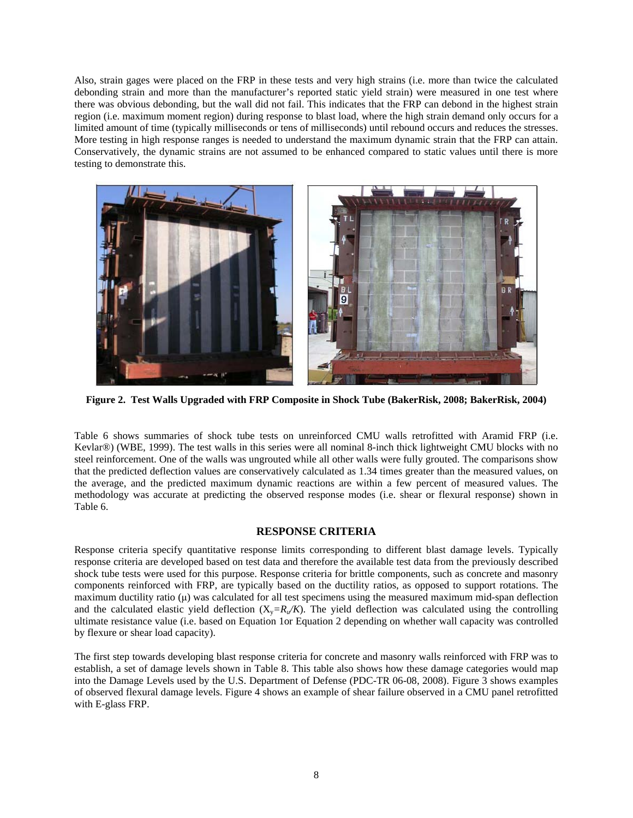Also, strain gages were placed on the FRP in these tests and very high strains (i.e. more than twice the calculated debonding strain and more than the manufacturer's reported static yield strain) were measured in one test where there was obvious debonding, but the wall did not fail. This indicates that the FRP can debond in the highest strain region (i.e. maximum moment region) during response to blast load, where the high strain demand only occurs for a limited amount of time (typically milliseconds or tens of milliseconds) until rebound occurs and reduces the stresses. More testing in high response ranges is needed to understand the maximum dynamic strain that the FRP can attain. Conservatively, the dynamic strains are not assumed to be enhanced compared to static values until there is more testing to demonstrate this.



**Figure 2. Test Walls Upgraded with FRP Composite in Shock Tube (BakerRisk, 2008; BakerRisk, 2004)**

Table 6 shows summaries of shock tube tests on unreinforced CMU walls retrofitted with Aramid FRP (i.e. Kevlar®) (WBE, 1999). The test walls in this series were all nominal 8-inch thick lightweight CMU blocks with no steel reinforcement. One of the walls was ungrouted while all other walls were fully grouted. The comparisons show that the predicted deflection values are conservatively calculated as 1.34 times greater than the measured values, on the average, and the predicted maximum dynamic reactions are within a few percent of measured values. The methodology was accurate at predicting the observed response modes (i.e. shear or flexural response) shown in Table 6.

## **RESPONSE CRITERIA**

Response criteria specify quantitative response limits corresponding to different blast damage levels. Typically response criteria are developed based on test data and therefore the available test data from the previously described shock tube tests were used for this purpose. Response criteria for brittle components, such as concrete and masonry components reinforced with FRP, are typically based on the ductility ratios, as opposed to support rotations. The maximum ductility ratio  $(\mu)$  was calculated for all test specimens using the measured maximum mid-span deflection and the calculated elastic yield deflection  $(X_y=R_y/K)$ . The yield deflection was calculated using the controlling ultimate resistance value (i.e. based on Equation 1or Equation 2 depending on whether wall capacity was controlled by flexure or shear load capacity).

The first step towards developing blast response criteria for concrete and masonry walls reinforced with FRP was to establish, a set of damage levels shown in Table 8. This table also shows how these damage categories would map into the Damage Levels used by the U.S. Department of Defense (PDC-TR 06-08, 2008). Figure 3 shows examples of observed flexural damage levels. Figure 4 shows an example of shear failure observed in a CMU panel retrofitted with E-glass FRP.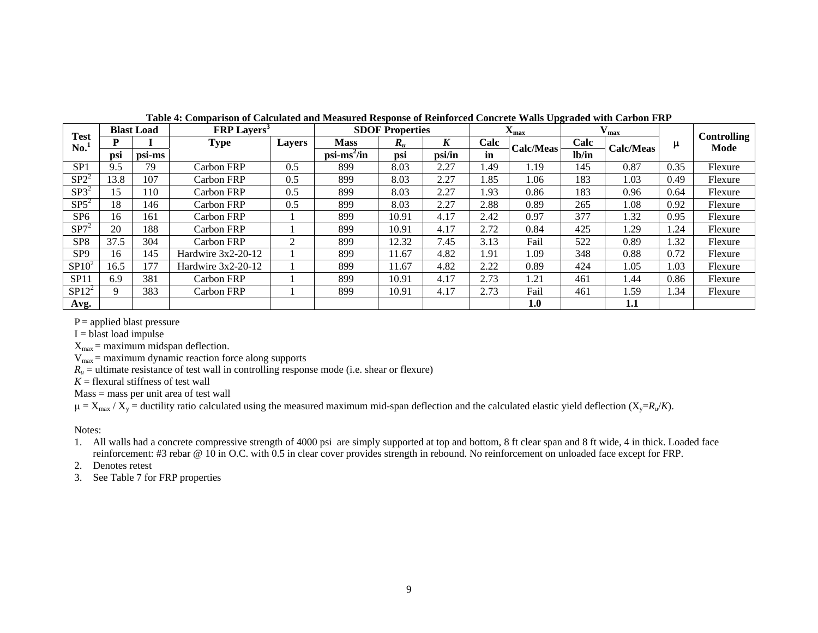|                 |      | <b>Blast Load</b> | <b>FRP</b> Layers <sup>3</sup> |               |                       | <b>SDOF Properties</b> |        | $\mathbf{X}_{\text{max}}$ |                  | $\theta$ max |           |      |                            |
|-----------------|------|-------------------|--------------------------------|---------------|-----------------------|------------------------|--------|---------------------------|------------------|--------------|-----------|------|----------------------------|
| Test<br>No.     | D    |                   | <b>Type</b>                    | <b>Layers</b> | <b>Mass</b>           | $R_u$                  | K      | Calc                      | <b>Calc/Meas</b> | Calc         | Calc/Meas | μ    | <b>Controlling</b><br>Mode |
|                 | psi  | psi-ms            |                                |               | $psi\text{-ms}^2$ /in | psi                    | psi/in | in                        |                  | lb/in        |           |      |                            |
| SP <sub>1</sub> | 9.5  | 79                | Carbon FRP                     | 0.5           | 899                   | 8.03                   | 2.27   | 1.49                      | 1.19             | 145          | 0.87      | 0.35 | Flexure                    |
| $SP2^2$         | 13.8 | 107               | Carbon FRP                     | 0.5           | 899                   | 8.03                   | 2.27   | .85                       | 1.06             | 183          | 1.03      | 0.49 | Flexure                    |
| $SP3^2$         | 15   | 110               | Carbon FRP                     | 0.5           | 899                   | 8.03                   | 2.27   | 1.93                      | 0.86             | 183          | 0.96      | 0.64 | Flexure                    |
| $SP5^2$         | 18   | 146               | Carbon FRP                     | 0.5           | 899                   | 8.03                   | 2.27   | 2.88                      | 0.89             | 265          | 1.08      | 0.92 | Flexure                    |
| SP <sub>6</sub> | 16   | 161               | Carbon FRP                     |               | 899                   | 10.91                  | 4.17   | 2.42                      | 0.97             | 377          | 1.32      | 0.95 | Flexure                    |
| $SP7^2$         | 20   | 188               | Carbon FRP                     |               | 899                   | 10.91                  | 4.17   | 2.72                      | 0.84             | 425          | 1.29      | .24  | Flexure                    |
| SP <sub>8</sub> | 37.5 | 304               | Carbon FRP                     |               | 899                   | 12.32                  | 7.45   | 3.13                      | Fail             | 522          | 0.89      | 1.32 | Flexure                    |
| SP <sub>9</sub> | 16   | 145               | Hardwire 3x2-20-12             |               | 899                   | 11.67                  | 4.82   | 1.91                      | 1.09             | 348          | 0.88      | 0.72 | Flexure                    |
| $SP10^2$        | 16.5 | 177               | Hardwire $3x2-20-12$           |               | 899                   | 11.67                  | 4.82   | 2.22                      | 0.89             | 424          | 1.05      | 1.03 | Flexure                    |
| SP11            | 6.9  | 381               | Carbon FRP                     |               | 899                   | 10.91                  | 4.17   | 2.73                      | 1.21             | 461          | 1.44      | 0.86 | Flexure                    |
| $SP12^2$        | 9    | 383               | Carbon FRP                     |               | 899                   | 10.91                  | 4.17   | 2.73                      | Fail             | 461          | 1.59      | . 34 | Flexure                    |
| Avg.            |      |                   |                                |               |                       |                        |        |                           | 1.0              |              | 1.1       |      |                            |

**Table 4: Comparison of Calculated and Measured Response of Reinforced Concrete Walls Upgraded with Carbon FRP** 

 $P =$  applied blast pressure

 $I =$  blast load impulse

 $X_{\text{max}} =$  maximum midspan deflection.

 $V_{\text{max}}$  = maximum dynamic reaction force along supports

 $R_u$  = ultimate resistance of test wall in controlling response mode (i.e. shear or flexure)

*K* = flexural stiffness of test wall

Mass = mass per unit area of test wall

 $\mu = X_{\text{max}} / X_{\text{y}} =$  ductility ratio calculated using the measured maximum mid-span deflection and the calculated elastic yield deflection ( $X_{\text{y}} = R_{\mu}/K$ ).

Notes:

1. All walls had a concrete compressive strength of 4000 psi are simply supported at top and bottom, 8 ft clear span and 8 ft wide, 4 in thick. Loaded face reinforcement: #3 rebar @ 10 in O.C. with 0.5 in clear cover provides strength in rebound. No reinforcement on unloaded face except for FRP.

2. Denotes retest

3. See Table 7 for FRP properties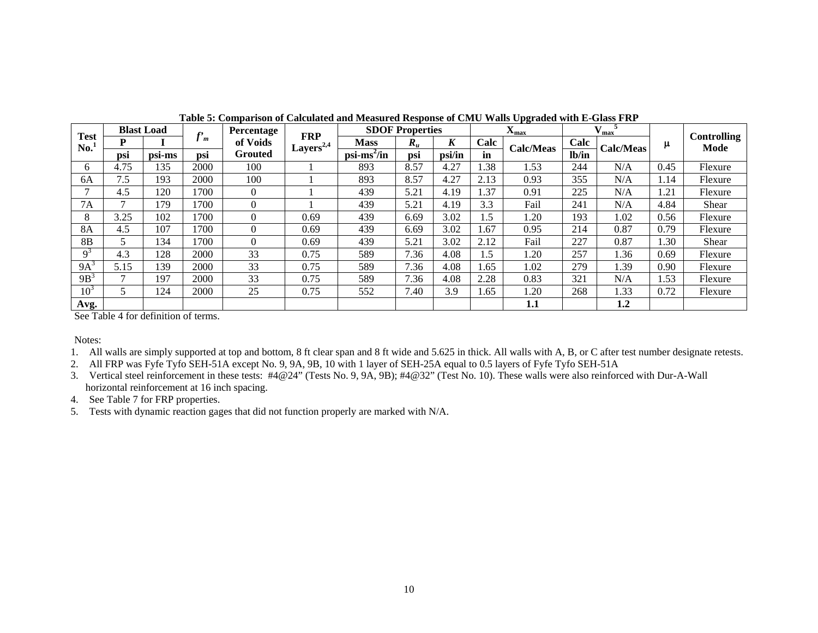|                    |      | <b>Blast Load</b> | c,   | Percentage       | FRP                       |                                     | <b>SDOF Properties</b> |        |      | $\mathbf{v}$<br>$\mathbf{X}_{\text{max}}$ |       | $V_{\text{max}}$ |      | Controlling |
|--------------------|------|-------------------|------|------------------|---------------------------|-------------------------------------|------------------------|--------|------|-------------------------------------------|-------|------------------|------|-------------|
| <b>Test</b><br>No. | P    |                   | m    | of Voids         | Layers <sup>2,4</sup> $-$ | <b>Mass</b>                         | $R_u$                  | K      | Calc | Calc/Meas                                 | Calc  | <b>Calc/Meas</b> | μ    | Mode        |
|                    | psi  | psi-ms            | psi  | Grouted          |                           | $\overline{\text{psi}^2/\text{in}}$ | psi                    | psi/in | in   |                                           | lb/in |                  |      |             |
| 6                  | 4.75 | 135               | 2000 | 100              |                           | 893                                 | 8.57                   | 4.27   | 1.38 | 1.53                                      | 244   | N/A              | 0.45 | Flexure     |
| 6A                 | 7.5  | 193               | 2000 | 100              |                           | 893                                 | 8.57                   | 4.27   | 2.13 | 0.93                                      | 355   | N/A              | 1.14 | Flexure     |
|                    | 4.5  | 120               | 1700 | $\overline{0}$   |                           | 439                                 | 5.21                   | 4.19   | 1.37 | 0.91                                      | 225   | N/A              | 1.21 | Flexure     |
| <b>7A</b>          |      | 179               | 1700 | $\boldsymbol{0}$ |                           | 439                                 | 5.21                   | 4.19   | 3.3  | Fail                                      | 241   | N/A              | 4.84 | Shear       |
| 8                  | 3.25 | 102               | 1700 | $\overline{0}$   | 0.69                      | 439                                 | 6.69                   | 3.02   | .5   | 1.20                                      | 193   | 1.02             | 0.56 | Flexure     |
| 8A                 | 4.5  | 107               | 1700 | $\Omega$         | 0.69                      | 439                                 | 6.69                   | 3.02   | 1.67 | 0.95                                      | 214   | 0.87             | 0.79 | Flexure     |
| 8 <sub>B</sub>     |      | 134               | 1700 | $\Omega$         | 0.69                      | 439                                 | 5.21                   | 3.02   | 2.12 | Fail                                      | 227   | 0.87             | 1.30 | Shear       |
| $Q^3$              | 4.3  | 128               | 2000 | 33               | 0.75                      | 589                                 | 7.36                   | 4.08   | .5   | 1.20                                      | 257   | 1.36             | 0.69 | Flexure     |
| $9A^3$             | 5.15 | 139               | 2000 | 33               | 0.75                      | 589                                 | 7.36                   | 4.08   | 1.65 | 1.02                                      | 279   | 1.39             | 0.90 | Flexure     |
| $9B^3$             |      | 197               | 2000 | 33               | 0.75                      | 589                                 | 7.36                   | 4.08   | 2.28 | 0.83                                      | 321   | N/A              | 1.53 | Flexure     |
| 10 <sup>3</sup>    |      | 124               | 2000 | 25               | 0.75                      | 552                                 | 7.40                   | 3.9    | 1.65 | 1.20                                      | 268   | 1.33             | 0.72 | Flexure     |
| Avg.               |      |                   |      |                  |                           |                                     |                        |        |      | 1.1                                       |       | 1.2              |      |             |

**Table 5: Comparison of Calculated and Measured Response of CMU Walls Upgraded with E-Glass FRP** 

See Table 4 for definition of terms.

Notes:

- 1. All walls are simply supported at top and bottom, 8 ft clear span and 8 ft wide and 5.625 in thick. All walls with A, B, or C after test number designate retests.
- 2. All FRP was Fyfe Tyfo SEH-51A except No. 9, 9A, 9B, 10 with 1 layer of SEH-25A equal to 0.5 layers of Fyfe Tyfo SEH-51A
- 3. Vertical steel reinforcement in these tests: #4@24" (Tests No. 9, 9A, 9B); #4@32" (Test No. 10). These walls were also reinforced with Dur-A-Wall horizontal reinforcement at 16 inch spacing.
- 4. See Table 7 for FRP properties.
- 5. Tests with dynamic reaction gages that did not function properly are marked with N/A.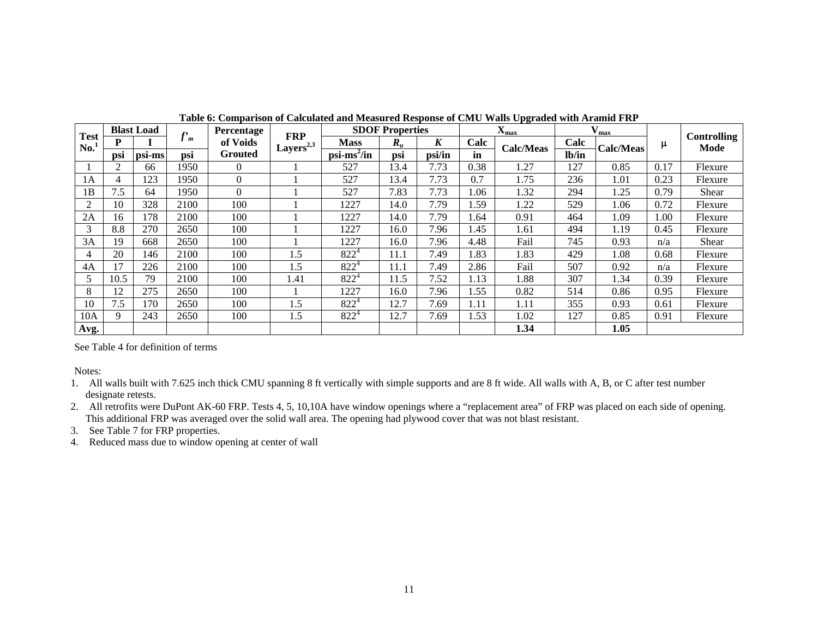|                              |      | <b>Blast Load</b> | f,   | Percentage     | <b>FRP</b>                  |                      | <b>SDOF Properties</b> |                  |      | $X_{max}$        |       | max       |      | <b>Controlling</b> |
|------------------------------|------|-------------------|------|----------------|-----------------------------|----------------------|------------------------|------------------|------|------------------|-------|-----------|------|--------------------|
| <b>Test</b><br>$\mathbf{No}$ |      |                   | .J m | of Voids       | Layers <sup>2,3</sup> $\pm$ | <b>Mass</b>          | $R_{u}$                | $\boldsymbol{K}$ | Calc | <b>Calc/Meas</b> | Calc  | Calc/Meas | μ    | Mode               |
|                              | psi  | psi-ms            | psi  | <b>Grouted</b> |                             | psi <sup>2</sup> /in | psi                    | psi/in           | in   |                  | lb/in |           |      |                    |
|                              | 2    | 66                | 1950 | $\theta$       |                             | 527                  | 13.4                   | 7.73             | 0.38 | 1.27             | 127   | 0.85      | 0.17 | Flexure            |
| 1A                           | 4    | 123               | 1950 | $\Omega$       |                             | 527                  | 13.4                   | 7.73             | 0.7  | 1.75             | 236   | 1.01      | 0.23 | Flexure            |
| 1B                           | 7.5  | 64                | 1950 | $\Omega$       |                             | 527                  | 7.83                   | 7.73             | 1.06 | 1.32             | 294   | 1.25      | 0.79 | Shear              |
| 2                            | 10   | 328               | 2100 | 100            |                             | 1227                 | 14.0                   | 7.79             | 1.59 | 1.22             | 529   | 1.06      | 0.72 | Flexure            |
| 2A                           | 16   | 178               | 2100 | 100            |                             | 1227                 | 14.0                   | 7.79             | 1.64 | 0.91             | 464   | 1.09      | 1.00 | Flexure            |
| 3                            | 8.8  | 270               | 2650 | 100            |                             | 1227                 | 16.0                   | 7.96             | 1.45 | 1.61             | 494   | 1.19      | 0.45 | Flexure            |
| 3A                           | 19   | 668               | 2650 | 100            |                             | 1227                 | 16.0                   | 7.96             | 4.48 | Fail             | 745   | 0.93      | n/a  | Shear              |
| 4                            | 20   | 146               | 2100 | 100            | 1.5                         | $822^4$              | 11.1                   | 7.49             | 1.83 | 1.83             | 429   | 1.08      | 0.68 | Flexure            |
| 4A                           | 17   | 226               | 2100 | 100            | 1.5                         | $822^4$              | 11.1                   | 7.49             | 2.86 | Fail             | 507   | 0.92      | n/a  | Flexure            |
|                              | 10.5 | 79                | 2100 | 100            | 1.41                        | $822^4$              | 11.5                   | 7.52             | 1.13 | 1.88             | 307   | 1.34      | 0.39 | Flexure            |
| 8                            | 12   | 275               | 2650 | 100            |                             | 1227                 | 16.0                   | 7.96             | 1.55 | 0.82             | 514   | 0.86      | 0.95 | Flexure            |
| 10                           | 7.5  | 170               | 2650 | 100            | 1.5                         | $822^4$              | 12.7                   | 7.69             | 1.11 | 1.11             | 355   | 0.93      | 0.61 | Flexure            |
| 10A                          | 9    | 243               | 2650 | 100            | 1.5                         | $822^4$              | 12.7                   | 7.69             | 1.53 | 1.02             | 127   | 0.85      | 0.91 | Flexure            |
| Avg.                         |      |                   |      |                |                             |                      |                        |                  |      | 1.34             |       | 1.05      |      |                    |

**Table 6: Comparison of Calculated and Measured Response of CMU Walls Upgraded with Aramid FRP** 

See Table 4 for definition of terms

Notes:

- 1. All walls built with 7.625 inch thick CMU spanning 8 ft vertically with simple supports and are 8 ft wide. All walls with A, B, or C after test number designate retests.
- 2. All retrofits were DuPont AK-60 FRP. Tests 4, 5, 10,10A have window openings where a "replacement area" of FRP was placed on each side of opening. This additional FRP was averaged over the solid wall area. The opening had plywood cover that was not blast resistant.
- 3. See Table 7 for FRP properties.

4. Reduced mass due to window opening at center of wall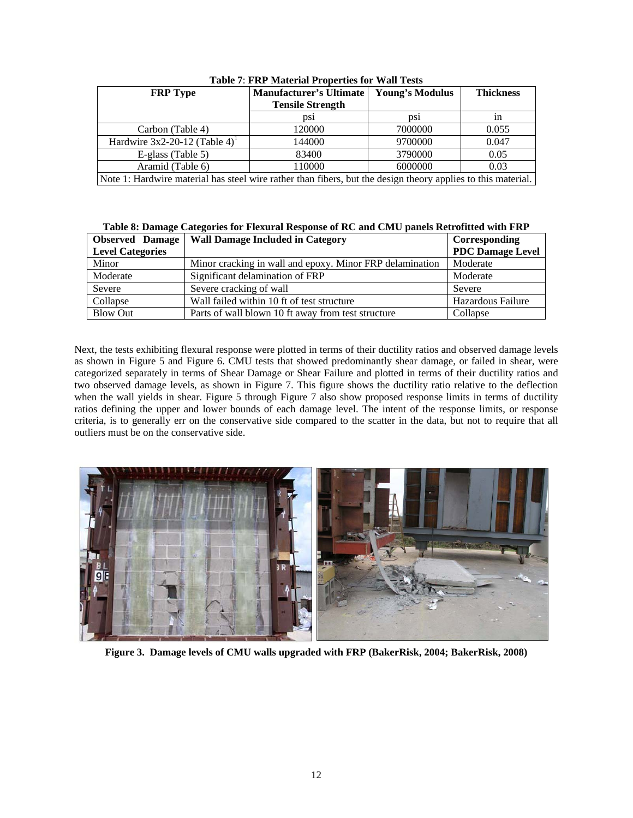| <b>FRP</b> Type                                                                                              | <b>Manufacturer's Ultimate</b> | <b>Young's Modulus</b> | <b>Thickness</b> |  |  |  |
|--------------------------------------------------------------------------------------------------------------|--------------------------------|------------------------|------------------|--|--|--|
|                                                                                                              | <b>Tensile Strength</b>        |                        |                  |  |  |  |
|                                                                                                              | DS1                            | DS1                    | 1n               |  |  |  |
| Carbon (Table 4)                                                                                             | 120000                         | 7000000                | 0.055            |  |  |  |
| Hardwire $3x2-20-12$ (Table 4) <sup>1</sup>                                                                  | 144000                         | 9700000                | 0.047            |  |  |  |
| E-glass (Table 5)                                                                                            | 83400                          | 3790000                | 0.05             |  |  |  |
| Aramid (Table 6)                                                                                             | 110000                         | 6000000                | 0.03             |  |  |  |
| Note 1: Hardwire material has steel wire rather than fibers, but the design theory applies to this material. |                                |                        |                  |  |  |  |

**Table 7**: **FRP Material Properties for Wall Tests** 

**Table 8: Damage Categories for Flexural Response of RC and CMU panels Retrofitted with FRP** 

| <b>Observed</b> Damage  | <b>Wall Damage Included in Category</b>                  | Corresponding           |
|-------------------------|----------------------------------------------------------|-------------------------|
| <b>Level Categories</b> |                                                          | <b>PDC</b> Damage Level |
| Minor                   | Minor cracking in wall and epoxy. Minor FRP delamination | Moderate                |
| Moderate                | Significant delamination of FRP                          | Moderate                |
| Severe                  | Severe cracking of wall                                  | Severe                  |
| Collapse                | Wall failed within 10 ft of test structure               | Hazardous Failure       |
| <b>Blow Out</b>         | Parts of wall blown 10 ft away from test structure       | Collapse                |

Next, the tests exhibiting flexural response were plotted in terms of their ductility ratios and observed damage levels as shown in Figure 5 and Figure 6. CMU tests that showed predominantly shear damage, or failed in shear, were categorized separately in terms of Shear Damage or Shear Failure and plotted in terms of their ductility ratios and two observed damage levels, as shown in Figure 7. This figure shows the ductility ratio relative to the deflection when the wall yields in shear. Figure 5 through Figure 7 also show proposed response limits in terms of ductility ratios defining the upper and lower bounds of each damage level. The intent of the response limits, or response criteria, is to generally err on the conservative side compared to the scatter in the data, but not to require that all outliers must be on the conservative side.



**Figure 3. Damage levels of CMU walls upgraded with FRP (BakerRisk, 2004; BakerRisk, 2008)**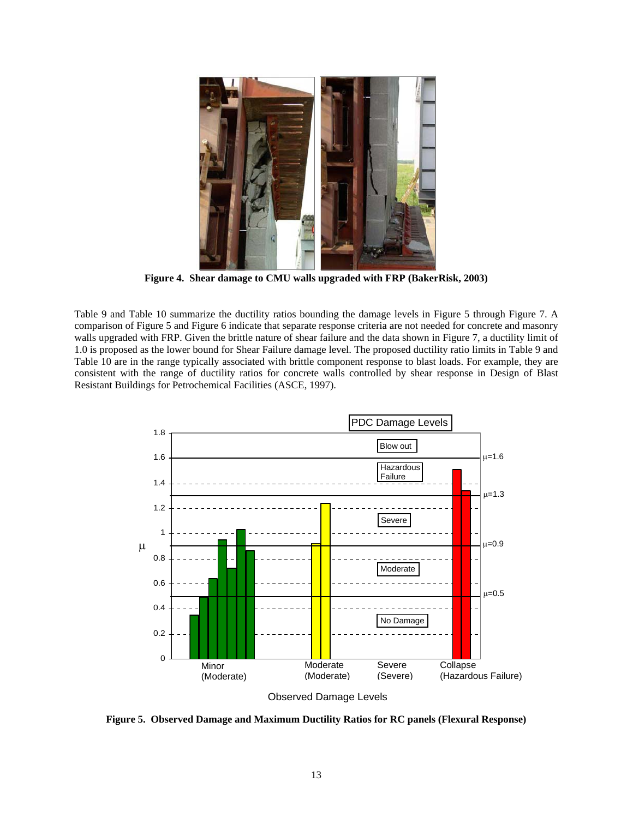

**Figure 4. Shear damage to CMU walls upgraded with FRP (BakerRisk, 2003)** 

Table 9 and Table 10 summarize the ductility ratios bounding the damage levels in Figure 5 through Figure 7. A comparison of Figure 5 and Figure 6 indicate that separate response criteria are not needed for concrete and masonry walls upgraded with FRP. Given the brittle nature of shear failure and the data shown in Figure 7, a ductility limit of 1.0 is proposed as the lower bound for Shear Failure damage level. The proposed ductility ratio limits in Table 9 and Table 10 are in the range typically associated with brittle component response to blast loads. For example, they are consistent with the range of ductility ratios for concrete walls controlled by shear response in Design of Blast Resistant Buildings for Petrochemical Facilities (ASCE, 1997).



Observed Damage Levels

**Figure 5. Observed Damage and Maximum Ductility Ratios for RC panels (Flexural Response)**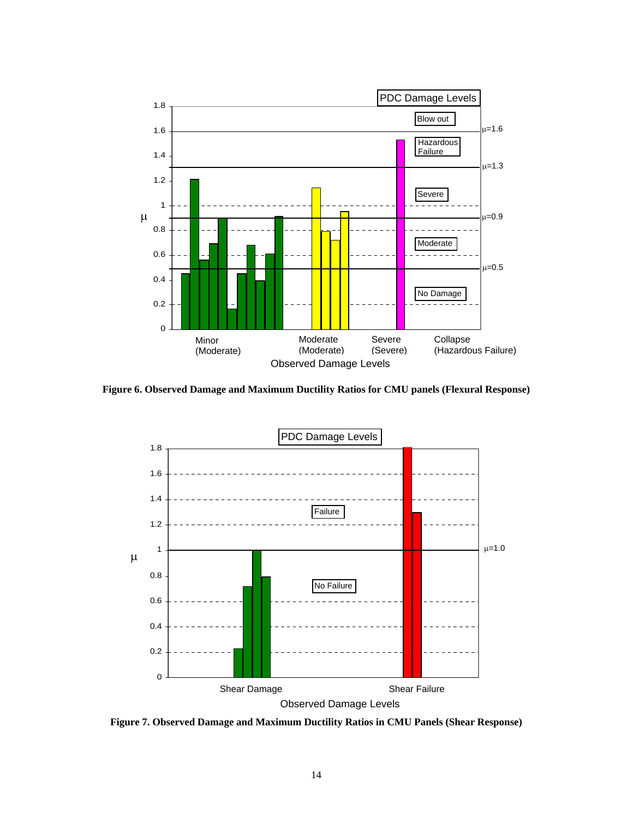

**Figure 6. Observed Damage and Maximum Ductility Ratios for CMU panels (Flexural Response)** 



**Figure 7. Observed Damage and Maximum Ductility Ratios in CMU Panels (Shear Response)**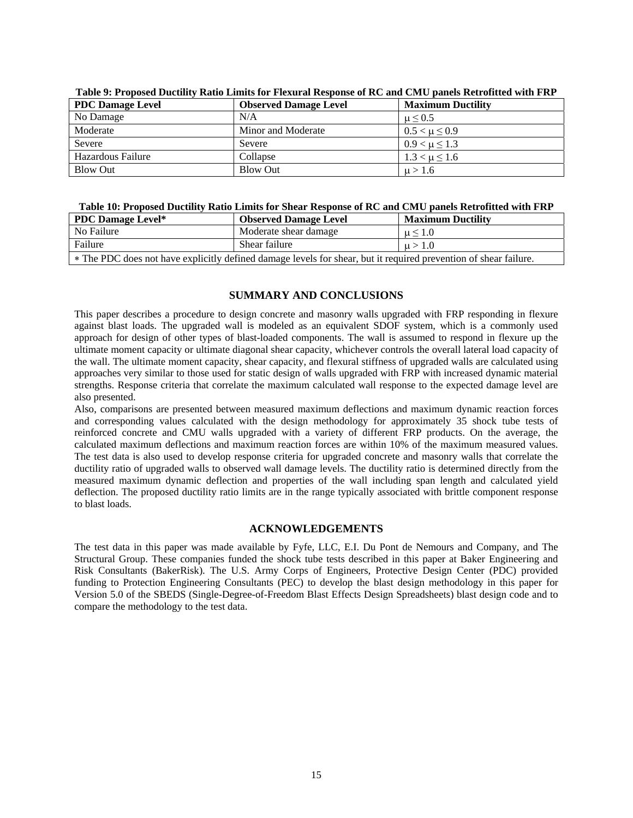| <b>PDC Damage Level</b> | <b>Observed Damage Level</b> | <b>Maximum Ductility</b> |
|-------------------------|------------------------------|--------------------------|
| No Damage               | N/A                          | $\mu \leq 0.5$           |
| Moderate                | Minor and Moderate           | $0.5 < \mu \leq 0.9$     |
| Severe                  | Severe                       | $0.9 < \mu \leq 1.3$     |
| Hazardous Failure       | Collapse                     | $1.3 < \mu \leq 1.6$     |
| <b>Blow Out</b>         | Blow Out                     | $\mu > 1.6$              |

**Table 9: Proposed Ductility Ratio Limits for Flexural Response of RC and CMU panels Retrofitted with FRP** 

## **Table 10: Proposed Ductility Ratio Limits for Shear Response of RC and CMU panels Retrofitted with FRP**

| <b>PDC Damage Level*</b>                                                                                         | <b>Observed Damage Level</b> | <b>Maximum Ductility</b> |  |  |  |  |  |
|------------------------------------------------------------------------------------------------------------------|------------------------------|--------------------------|--|--|--|--|--|
| No Failure                                                                                                       | Moderate shear damage        | $\mu$ < 1.0              |  |  |  |  |  |
| Failure                                                                                                          | Shear failure                | $\mu > 1.0$              |  |  |  |  |  |
| * The PDC does not have explicitly defined damage levels for shear, but it required prevention of shear failure. |                              |                          |  |  |  |  |  |

## **SUMMARY AND CONCLUSIONS**

This paper describes a procedure to design concrete and masonry walls upgraded with FRP responding in flexure against blast loads. The upgraded wall is modeled as an equivalent SDOF system, which is a commonly used approach for design of other types of blast-loaded components. The wall is assumed to respond in flexure up the ultimate moment capacity or ultimate diagonal shear capacity, whichever controls the overall lateral load capacity of the wall. The ultimate moment capacity, shear capacity, and flexural stiffness of upgraded walls are calculated using approaches very similar to those used for static design of walls upgraded with FRP with increased dynamic material strengths. Response criteria that correlate the maximum calculated wall response to the expected damage level are also presented.

Also, comparisons are presented between measured maximum deflections and maximum dynamic reaction forces and corresponding values calculated with the design methodology for approximately 35 shock tube tests of reinforced concrete and CMU walls upgraded with a variety of different FRP products. On the average, the calculated maximum deflections and maximum reaction forces are within 10% of the maximum measured values. The test data is also used to develop response criteria for upgraded concrete and masonry walls that correlate the ductility ratio of upgraded walls to observed wall damage levels. The ductility ratio is determined directly from the measured maximum dynamic deflection and properties of the wall including span length and calculated yield deflection. The proposed ductility ratio limits are in the range typically associated with brittle component response to blast loads.

## **ACKNOWLEDGEMENTS**

The test data in this paper was made available by Fyfe, LLC, E.I. Du Pont de Nemours and Company, and The Structural Group. These companies funded the shock tube tests described in this paper at Baker Engineering and Risk Consultants (BakerRisk). The U.S. Army Corps of Engineers, Protective Design Center (PDC) provided funding to Protection Engineering Consultants (PEC) to develop the blast design methodology in this paper for Version 5.0 of the SBEDS (Single-Degree-of-Freedom Blast Effects Design Spreadsheets) blast design code and to compare the methodology to the test data.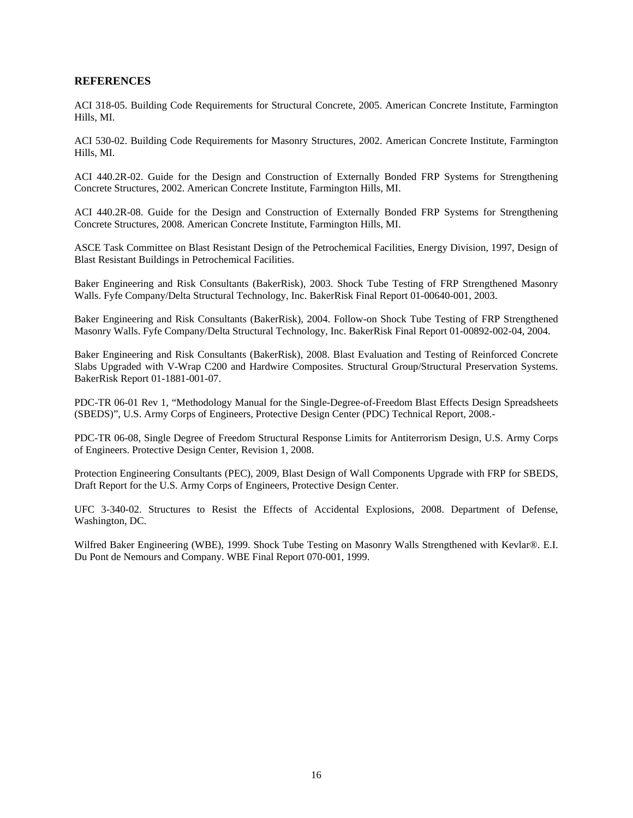## **REFERENCES**

ACI 318-05. Building Code Requirements for Structural Concrete, 2005. American Concrete Institute, Farmington Hills, MI.

ACI 530-02. Building Code Requirements for Masonry Structures, 2002. American Concrete Institute, Farmington Hills, MI.

ACI 440.2R-02. Guide for the Design and Construction of Externally Bonded FRP Systems for Strengthening Concrete Structures, 2002. American Concrete Institute, Farmington Hills, MI.

ACI 440.2R-08. Guide for the Design and Construction of Externally Bonded FRP Systems for Strengthening Concrete Structures, 2008. American Concrete Institute, Farmington Hills, MI.

ASCE Task Committee on Blast Resistant Design of the Petrochemical Facilities, Energy Division, 1997, Design of Blast Resistant Buildings in Petrochemical Facilities.

Baker Engineering and Risk Consultants (BakerRisk), 2003. Shock Tube Testing of FRP Strengthened Masonry Walls. Fyfe Company/Delta Structural Technology, Inc. BakerRisk Final Report 01-00640-001, 2003.

Baker Engineering and Risk Consultants (BakerRisk), 2004. Follow-on Shock Tube Testing of FRP Strengthened Masonry Walls. Fyfe Company/Delta Structural Technology, Inc. BakerRisk Final Report 01-00892-002-04, 2004.

Baker Engineering and Risk Consultants (BakerRisk), 2008. Blast Evaluation and Testing of Reinforced Concrete Slabs Upgraded with V-Wrap C200 and Hardwire Composites. Structural Group/Structural Preservation Systems. BakerRisk Report 01-1881-001-07.

PDC-TR 06-01 Rev 1, "Methodology Manual for the Single-Degree-of-Freedom Blast Effects Design Spreadsheets (SBEDS)", U.S. Army Corps of Engineers, Protective Design Center (PDC) Technical Report, 2008.-

PDC-TR 06-08, Single Degree of Freedom Structural Response Limits for Antiterrorism Design, U.S. Army Corps of Engineers. Protective Design Center, Revision 1, 2008.

Protection Engineering Consultants (PEC), 2009, Blast Design of Wall Components Upgrade with FRP for SBEDS, Draft Report for the U.S. Army Corps of Engineers, Protective Design Center.

UFC 3-340-02. Structures to Resist the Effects of Accidental Explosions, 2008. Department of Defense, Washington, DC.

Wilfred Baker Engineering (WBE), 1999. Shock Tube Testing on Masonry Walls Strengthened with Kevlar®. E.I. Du Pont de Nemours and Company. WBE Final Report 070-001, 1999.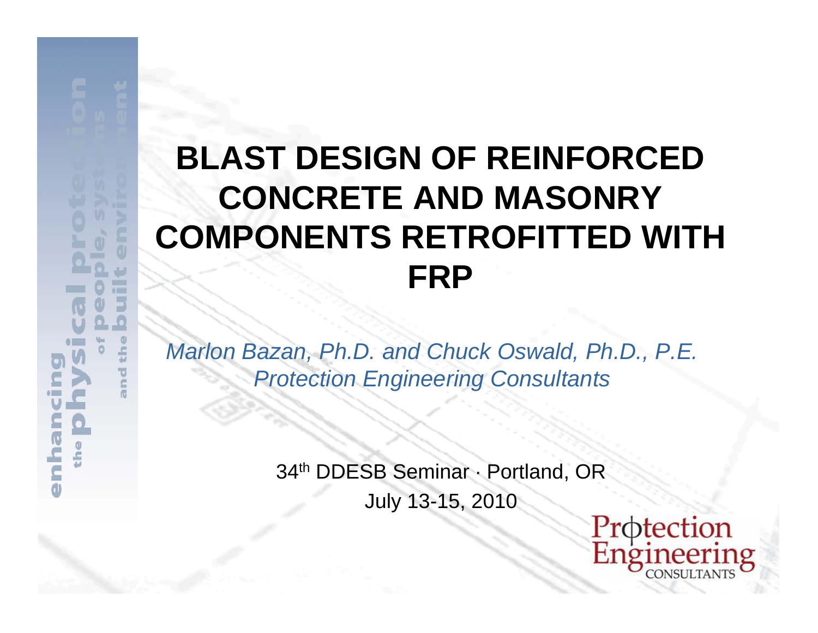# **BLAST** CON **COMPO**

 $61 - 1$ 

ś  $\overline{\mathbf{o}}$  *Marlon Bazan, Ph.D. and Chuck Oswald, Ph.D., P.E. Protection Engineering Consultants*

 $3<sub>t</sub>$ 

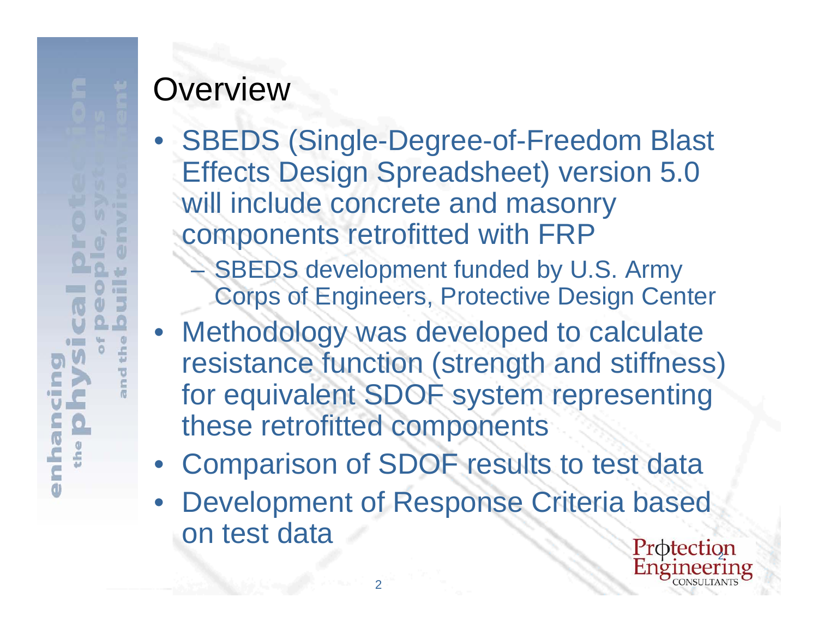# **Overview**

- • SBEDS (Single-Degree-of-Freedom Blast Effects Design Spreadsheet) version 5.0 will include concrete and masonry components retrofitted with FRP - **SBEDS** development funded by U.S. Army Corps of Engineers, Protective Design Center
- Methodology was developed to calculate resistance function (strength and stiffness) for equivalent SDOF system representing these retrofitted components
- Comparison of SDOF results to test data
- •Development of Response Criteria based on test data

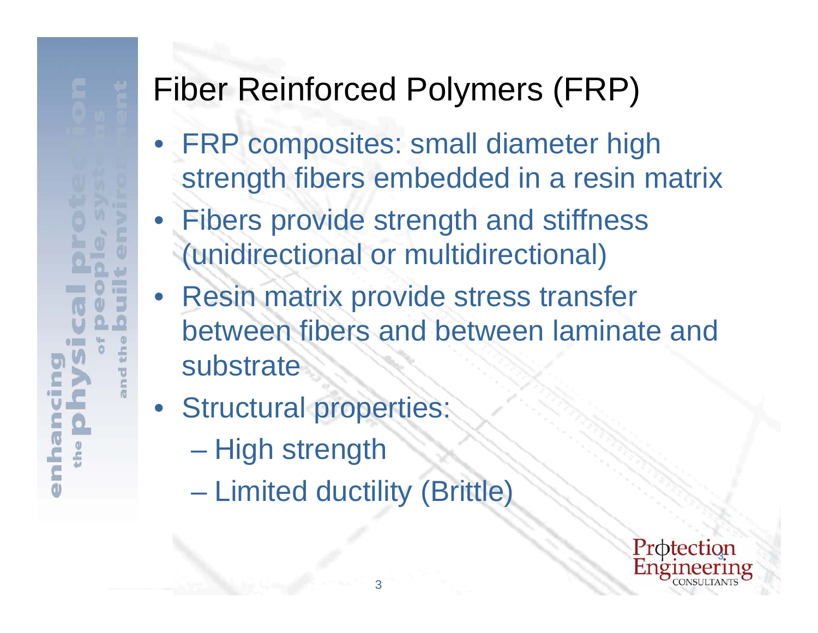# Fiber Rei

 $\frac{1}{2}$ 

- •**FRP composites: small diameter high** strength fibers embedded in a resin matrix
- •Fibers provide strength and stiffness (unidirectional or multidirectional)
- Resin matrix provide stress transfer between fibers and between laminate and substrate
- **Structural properties:** 
	- $\mathcal{L}_{\mathcal{A}}$ – High strength
	- **Limited ductility (Brittle)**

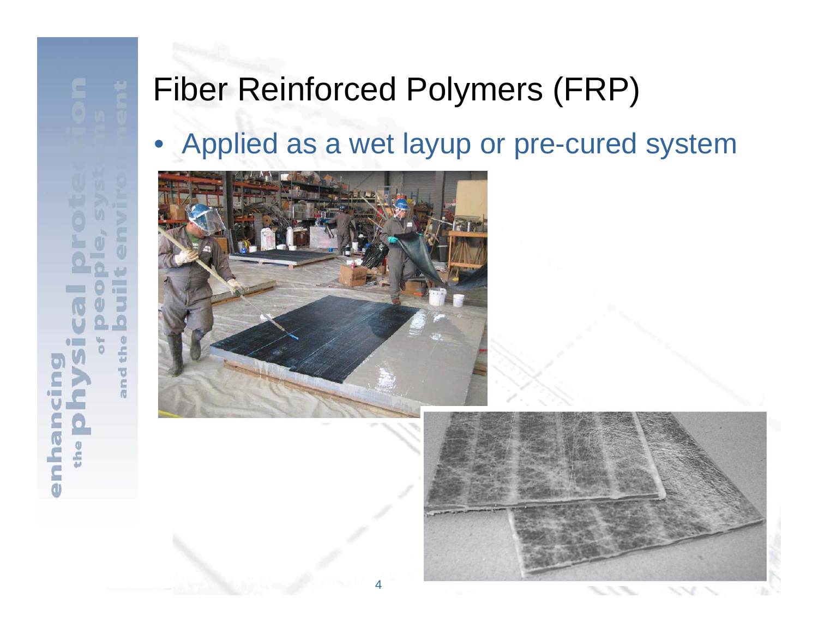# $\frac{1}{2}$  $\frac{1}{M}$ and

# Fiber Rei

## •Applied as a wet layup or pre-cured system





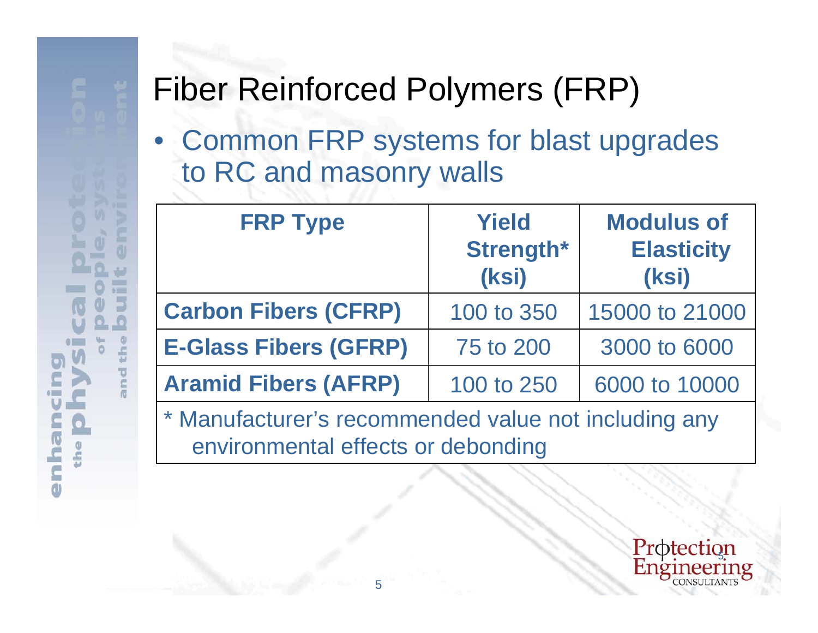£ ō c • Common FRP systems for blast upgrades to RC and masonry walls

| <b>FRP Type</b>              | <b>Yield</b><br>Strength*<br>(ksi) | <b>Modulus of</b><br><b>Elasticity</b><br>(ksi) |
|------------------------------|------------------------------------|-------------------------------------------------|
| <b>Carbon Fibers (CFRP)</b>  | 100 to 350                         | 15000 to 21000                                  |
| <b>E-Glass Fibers (GFRP)</b> | 75 to 200                          | 3000 to 6000                                    |
| <b>Aramid Fibers (AFRP)</b>  | 100 to 250                         | 6000 to 10000                                   |

\* Manufacturer's recommended value not including any environmental effects or debonding

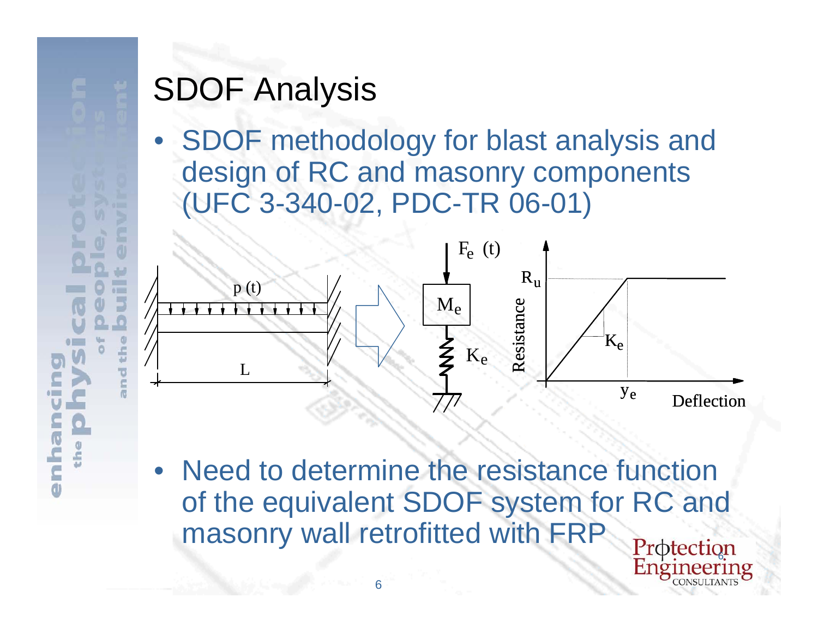# **SDOF An**

• SDOF methodology for blast analysis and design of RC and masonry components (UFC 3-340-02, PDC-TR 06-01)



• Need to determine the resistance function of the equivalent SDOF system for RC and masonry wall retrofitted with FRP

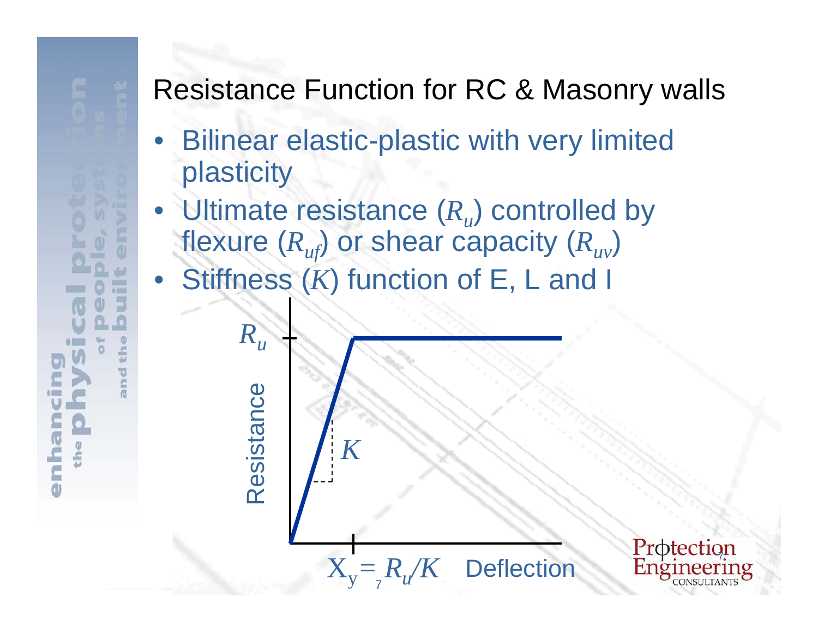## **Resistance**

 $01$ 

- •**Bilinear elastic-plastic with very limited** plasticity
- Ultimate resistance  $(R_u)$  controlled by flexure  $(R_{uf})$  or shear capacity  $(R_{uv})$ • Stiffness (*K*) function of E, L and I

*K*

Resistance Resistance

*Ru*

7X**Deflection** 

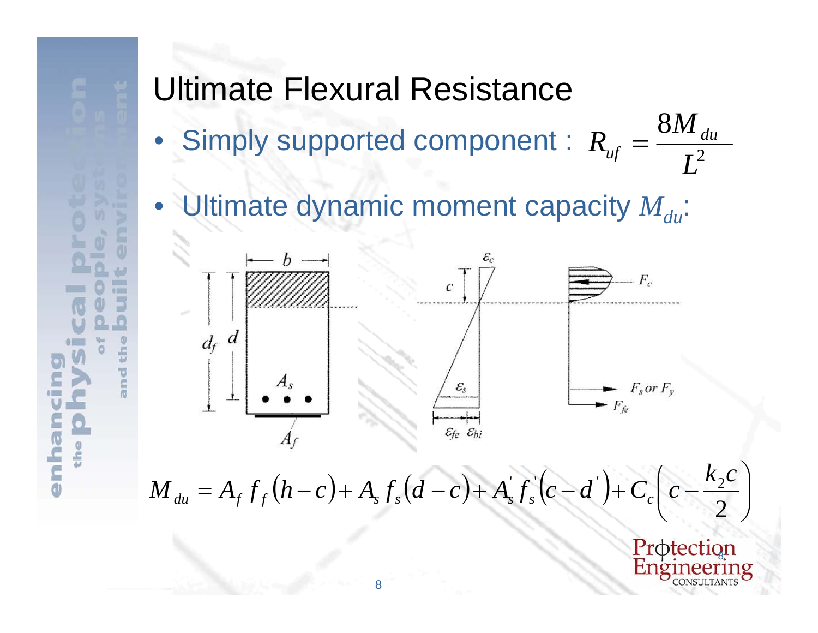

# Ultimate

•Simply supported component :

•Ultimate dynamic moment capacity  $M_{du}$ :



 $M_{du} = A_f f_f(\lambda)$ 

 $\mathcal{E}_c$  $F_c$  $\mathcal{C}_{\mathcal{C}}$  $\mathcal{E}_s$  $F_s$  or  $F_v$  $-F_{fe}$  $\varepsilon_{fe}$   $\varepsilon_{bi}$ 

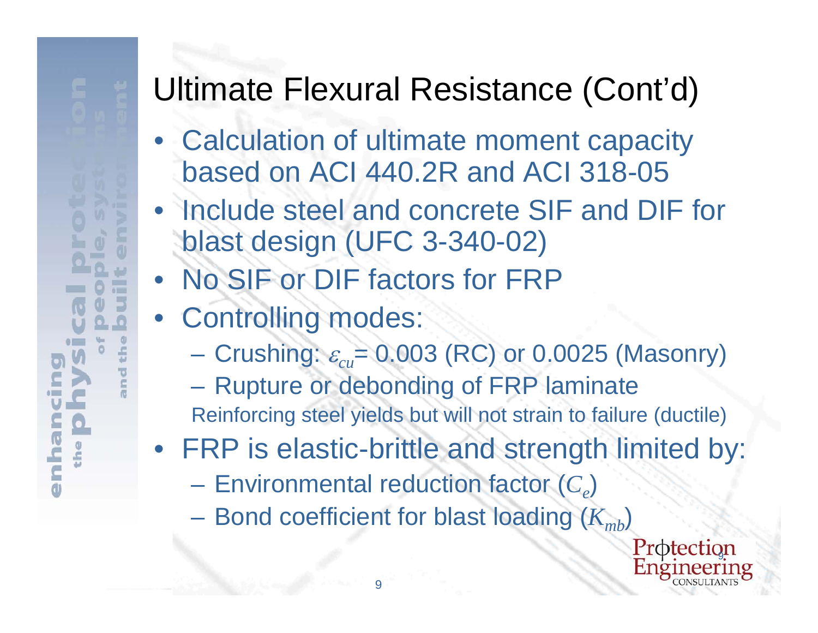# **Ultimate**

- • Calculation of ultimate moment capacity based on ACI 440.2R and ACI 318-05
- Include steel and concrete SIF and DIF for blast design (UFC 3-340-02)
- No SIF or DIF factors for FRP
- Controlling modes:
	- **Crushi**ng:  $\varepsilon_{cu}$ = 0.003 (RC) or 0.0025 (Masonry)
	- **Rupture or debonding of FRP laminate**
	- Reinforcing steel yields but will not strain to failure (ductile)
- FRP is elastic-brittle and strength limited by:
	- $\mathcal{L}_{\mathcal{A}}$  $-$  **Environmental reduction factor**  $(C_e)$

 $\mathcal{L}_{\mathcal{A}}$  $-$  Bond coefficient for blast loading  $(K_{\rm \scriptscriptstyle mb})$ 

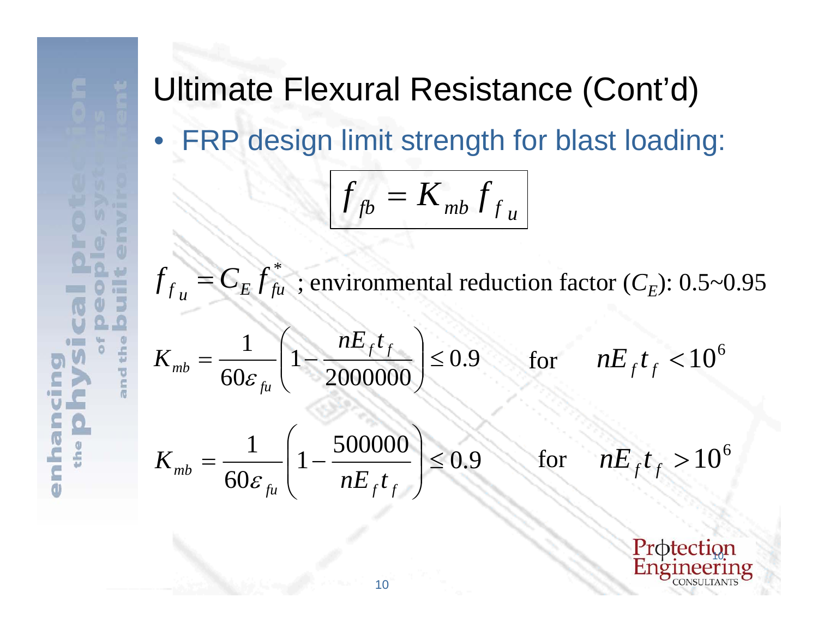



面

ŵ **East** ы

> $\circledcirc$ éh

> > and

ŏ

 $\bullet$ 

the

ha

 $\overline{\epsilon}$ d

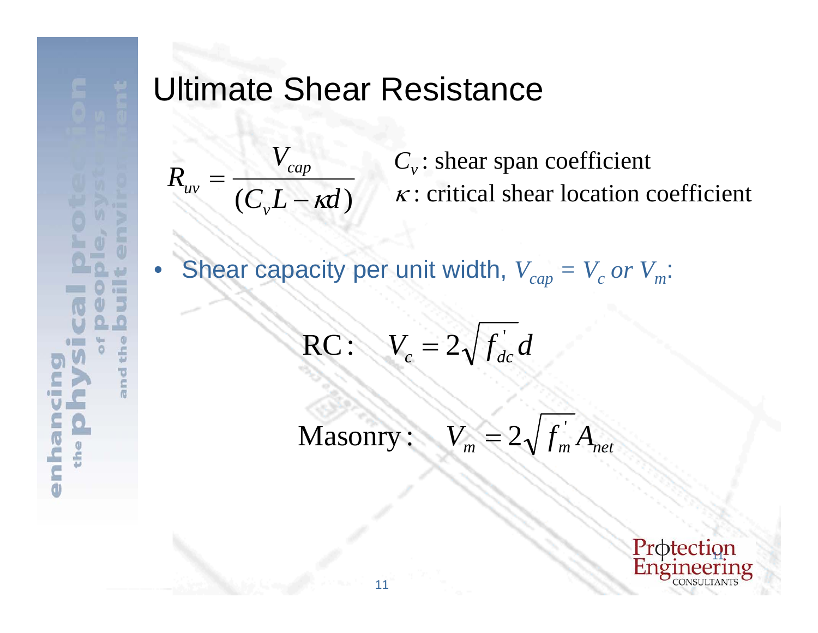

# Ultimate

 $({\bm C}_{{\bm \nu}} {\bm L}$ *VR uv*  $\equiv$ 

## •Shear capacity per unit width,  $V_{cap} = V_c$  or  $V_m$ :

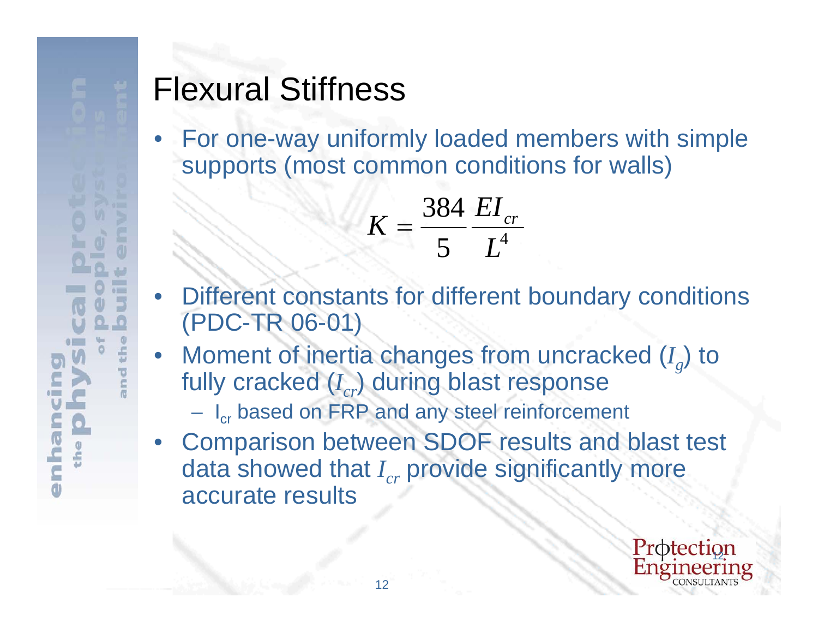# Flexural

• For one-way uniformly loaded members with simple supports (most common conditions for walls)

- • Different constants for different boundary conditions (PDC-TR 06-01)
- •Moment of inertia changes from uncracked ( $I_g$ ) to fully cracked ( $I_{cr}$ ) during blast response
	- I<sub>cr</sub> based on FRP and any steel reinforcement
- • Comparison between SDOF results and blast test data showed that *I<sub>cr</sub>* provide significantly more accurate results

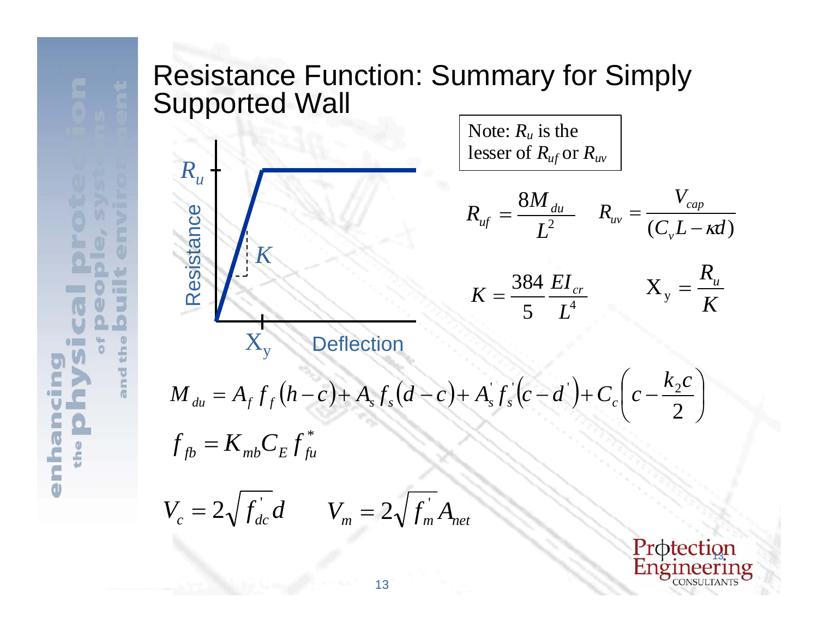## Resistance Supported



Note: *Ru* is the lesser of *Ruf* or *Ruv*

 $X_{v}$  Deflection

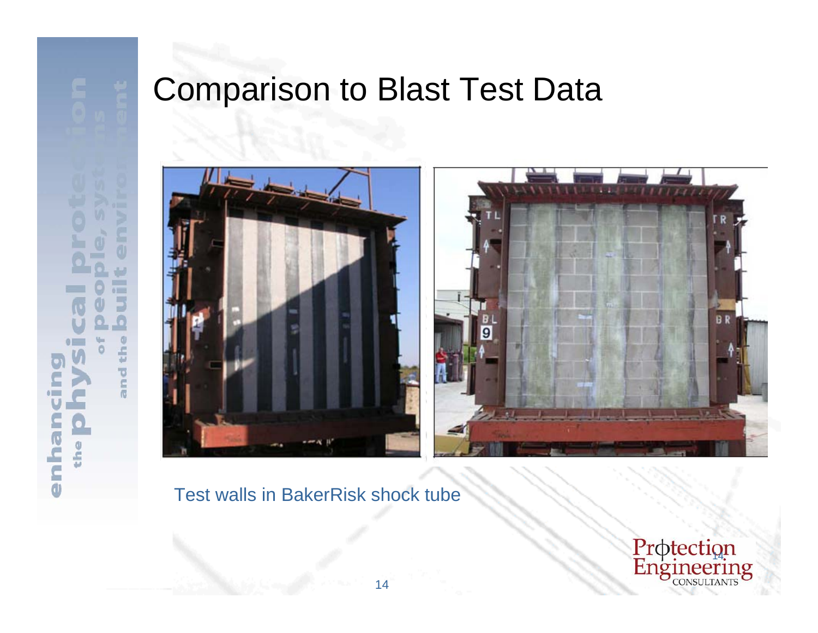

# Comparis





## Test walls in BakerRisk shock tube

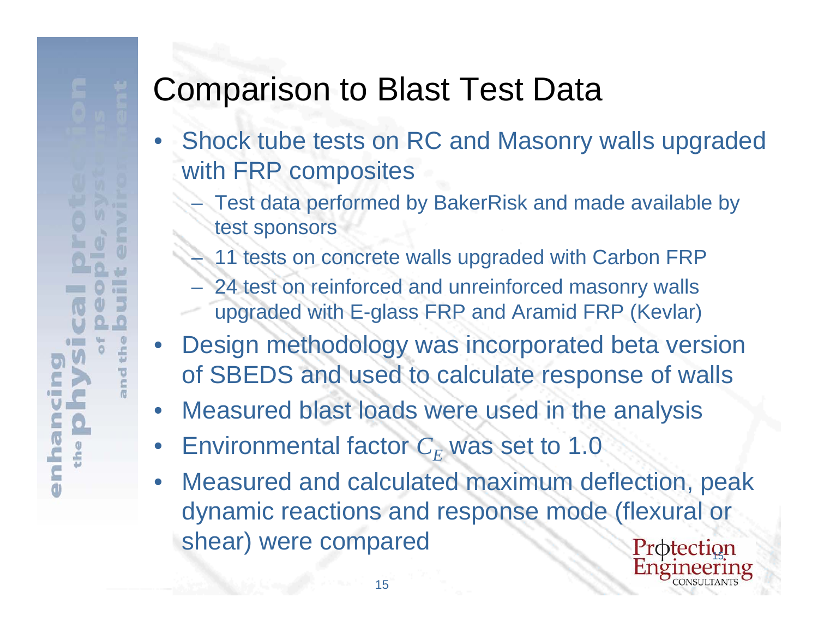# **Comparis**

- • Shock tube tests on RC and Masonry walls upgraded with **FRP** composites
	- Test data performed by BakerRisk and made available by test sponsors
	- $-$  11 tests on concrete walls upgraded with Carbon FRP
	- 24 test on reinforced and unreinforced masonry walls upgraded with E-glass FRP and Aramid FRP (Kevlar)
- •Design methodology was incorporated beta version of SBEDS and used to calculate response of walls
- $\bullet$ Measured blast loads were used in the analysis
- $\bullet$ Environmental factor  $C_F$  was set to 1.0
- Protection  $\bullet$  Measured and calculated maximum deflection, peak dynamic reactions and response mode (flexural or shear) were compared

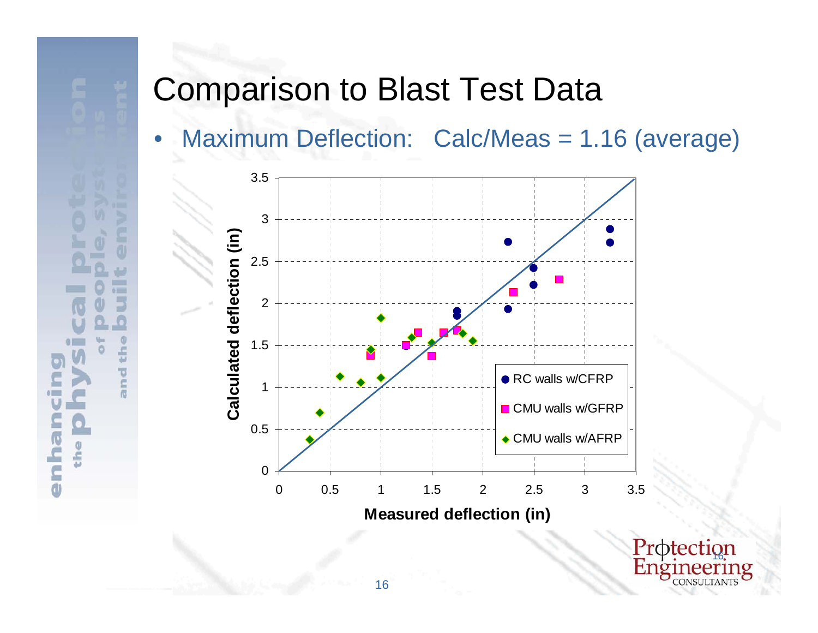



e

 $\subset$ đ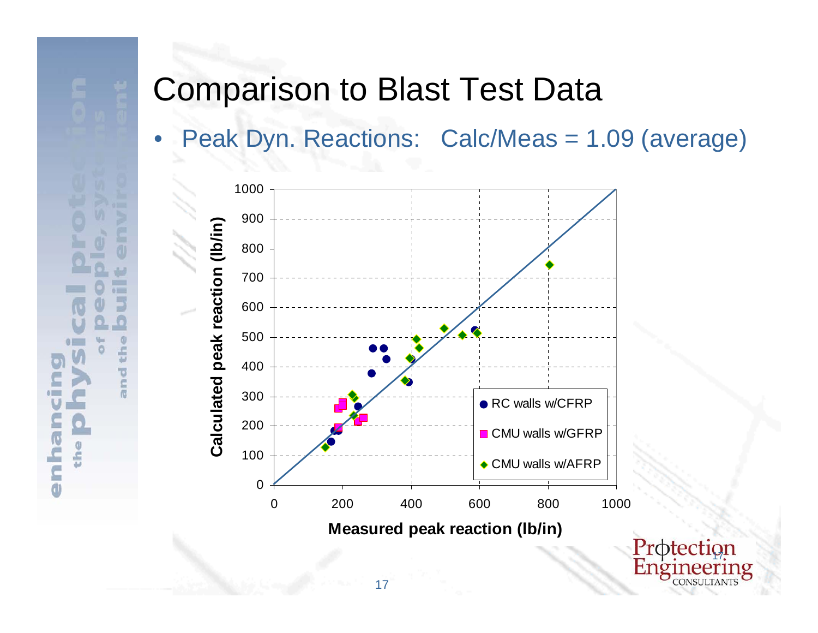

 $\subset$ đ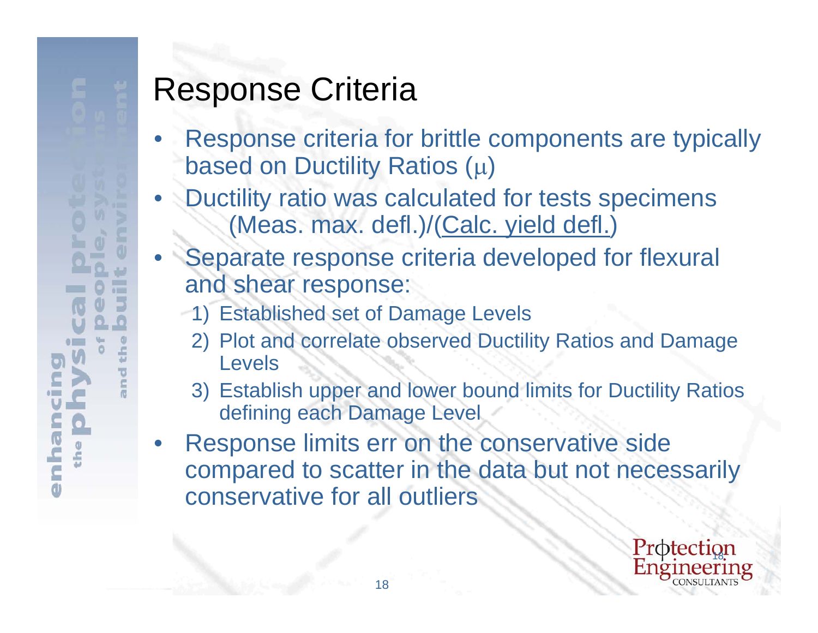- • Response criteria for brittle components are typically based on Ductility Ratios  $(\mu)$
- •Ductility ratio was calculated for tests specimens (Meas. max. defl.)/(Calc. yield defl.)
- •Separate response criteria developed for flexural and shear response:
	- 1) Established set of Damage Levels
		- 2) Plot and correlate observed Ductility Ratios and Damage Levels
		- 3) Establish upper and lower bound limits for Ductility Ratios defining each Damage Level
- • Response limits err on the conservative side compared to scatter in the data but not necessarily conservative for all outliers

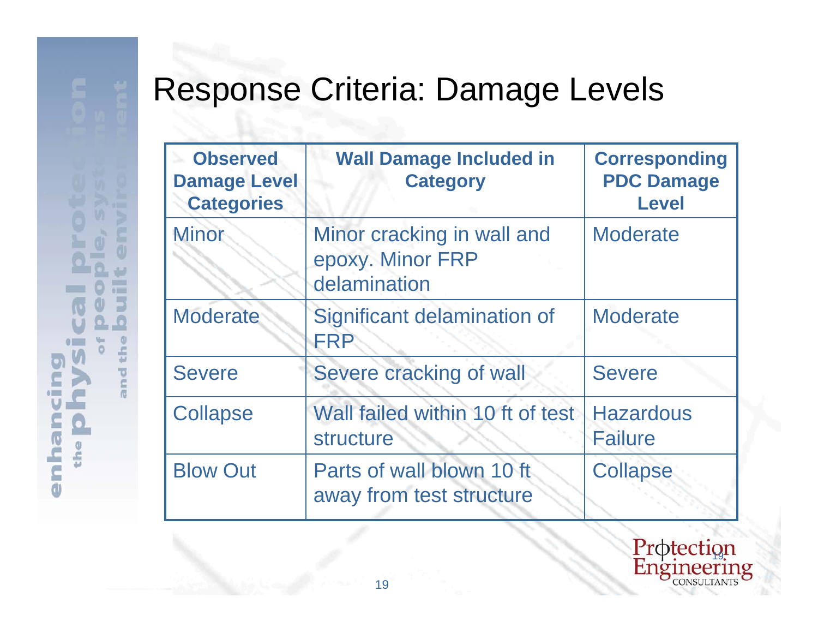| <b>Observed</b><br><b>Damage Level</b><br><b>Categories</b> | <b>Wall Damage Included in</b><br><b>Category</b>              | <b>Corresponding</b><br><b>PDC Damage</b><br><b>Level</b> |
|-------------------------------------------------------------|----------------------------------------------------------------|-----------------------------------------------------------|
| Minor                                                       | Minor cracking in wall and<br>epoxy. Minor FRP<br>delamination | <b>Moderate</b>                                           |
| <b>Moderate</b>                                             | Significant delamination of<br><b>FRP</b>                      | <b>Moderate</b>                                           |
| <b>Severe</b>                                               | Severe cracking of wall                                        | <b>Severe</b>                                             |
| <b>Collapse</b>                                             | Wall failed within 10 ft of test<br>structure                  | <b>Hazardous</b><br><b>Failure</b>                        |
| <b>Blow Out</b>                                             | Parts of wall blown 10 ft<br>away from test structure          | <b>Collapse</b>                                           |

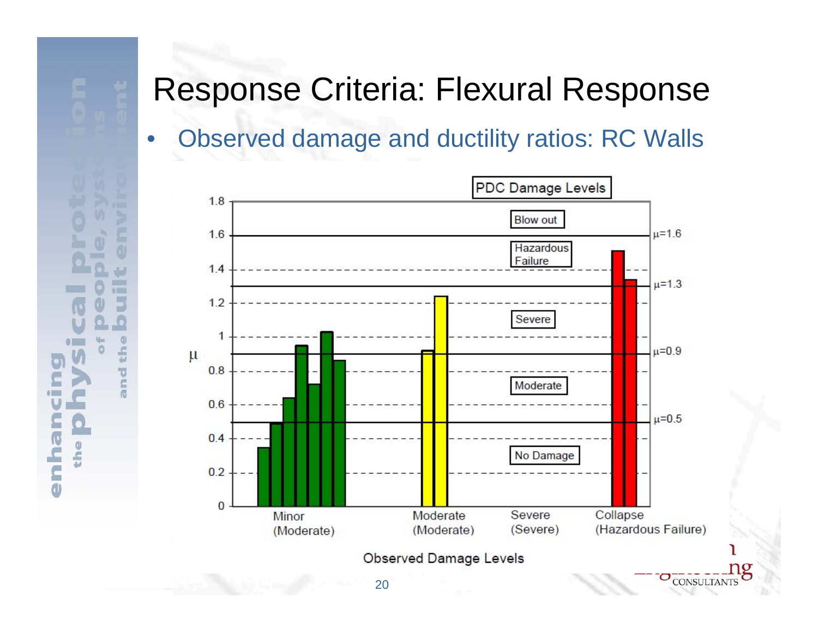面

W

 $01-1$ E.

ы

 $\omega$ 

th

and

W. Ô

ueuue

 $\bullet$ 

the

## •Observed damage and ductility ratios: RC Walls



ng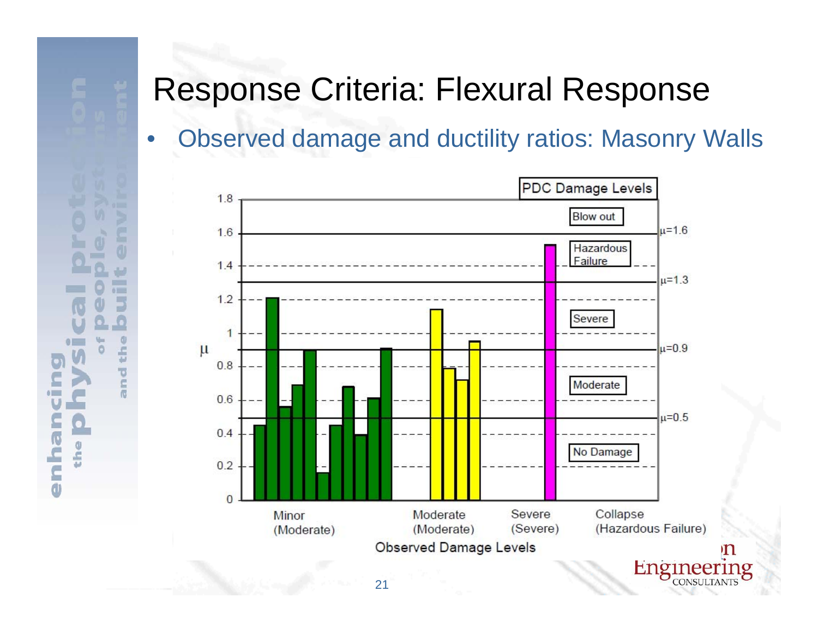面

ليبار

 $\sim$  $01-1$ 

> E. ы

> > $\omega$

th

ind

價

W.

 $\circ$ 

nian

**a** 

 $\bullet$ 

the

## •Observed damage and ductility ratios: Masonry Walls

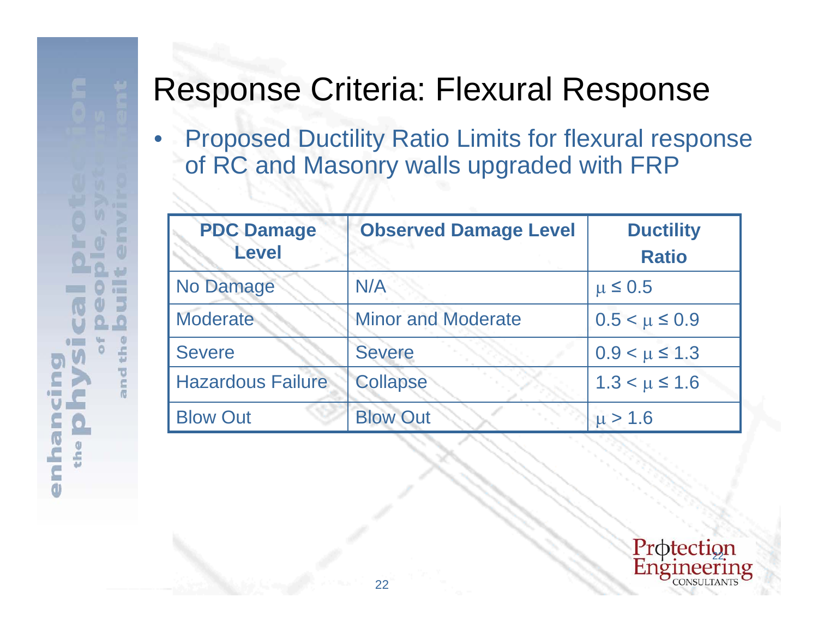面

 $01$ m

the

nd 價

 $\overline{\phantom{0}}$ 

nhan

d

 $\bullet$ 

the

• Proposed Ductility Ratio Limits for flexural response of RC and Masonry walls upgraded with FRP

| <b>PDC Damage</b>        | <b>Observed Damage Level</b> | <b>Ductility</b>     |
|--------------------------|------------------------------|----------------------|
| <b>Level</b>             |                              | <b>Ratio</b>         |
| No Damage                | N/A                          | $\mu \leq 0.5$       |
| <b>Moderate</b>          | <b>Minor and Moderate</b>    | $0.5 < \mu \leq 0.9$ |
| <b>Severe</b>            | <b>Severe</b>                | $0.9 < \mu \le 1.3$  |
| <b>Hazardous Failure</b> | <b>Collapse</b>              | $1.3 < \mu \le 1.6$  |
| <b>Blow Out</b>          | <b>Blow Out</b>              | $\mu > 1.6$          |

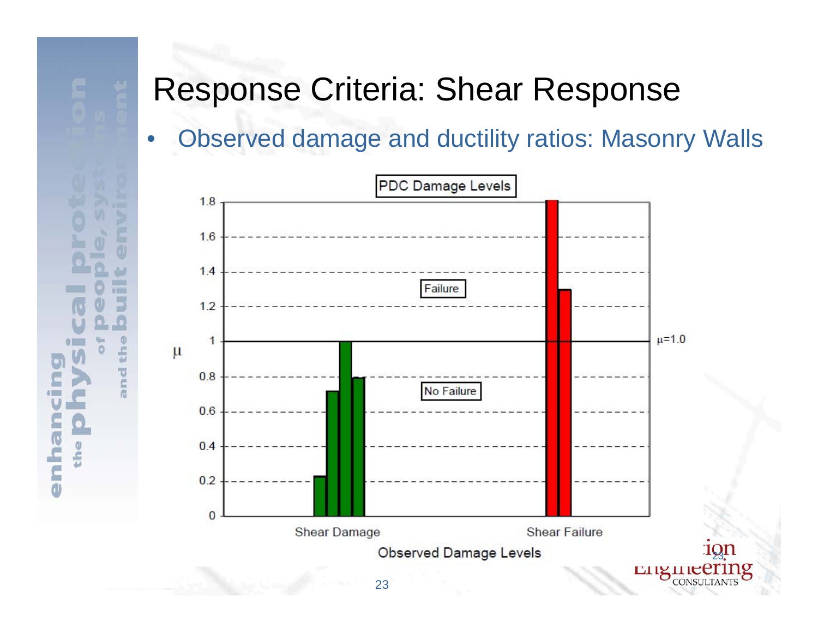$\circ$ 

the

hair

C

d

## •Observed damage and ductility ratios: Masonry Walls

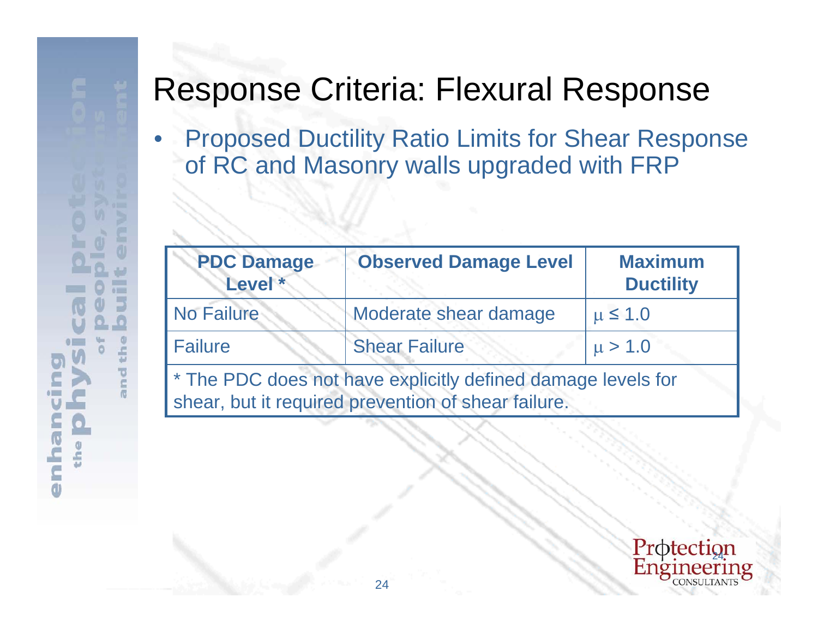面

 $01 -$ E. ш

the

ind 價

**Uleu** 

 $\overline{\mathsf{C}}$ d

 $\bullet$ 

the

• Proposed Ductility Ratio Limits for Shear Response of RC and Masonry walls upgraded with FRP

| <b>PDC Damage</b><br>Level *                                 | <b>Observed Damage Level</b> | <b>Maximum</b><br><b>Ductility</b> |  |  |
|--------------------------------------------------------------|------------------------------|------------------------------------|--|--|
| <b>No Failure</b>                                            | Moderate shear damage        | $\mu \leq 1.0$                     |  |  |
| <b>Failure</b>                                               | <b>Shear Failure</b>         | $\mu > 1.0$                        |  |  |
| * The PDC does not have explicitly defined damage levels for |                              |                                    |  |  |
| shear, but it required prevention of shear failure.          |                              |                                    |  |  |